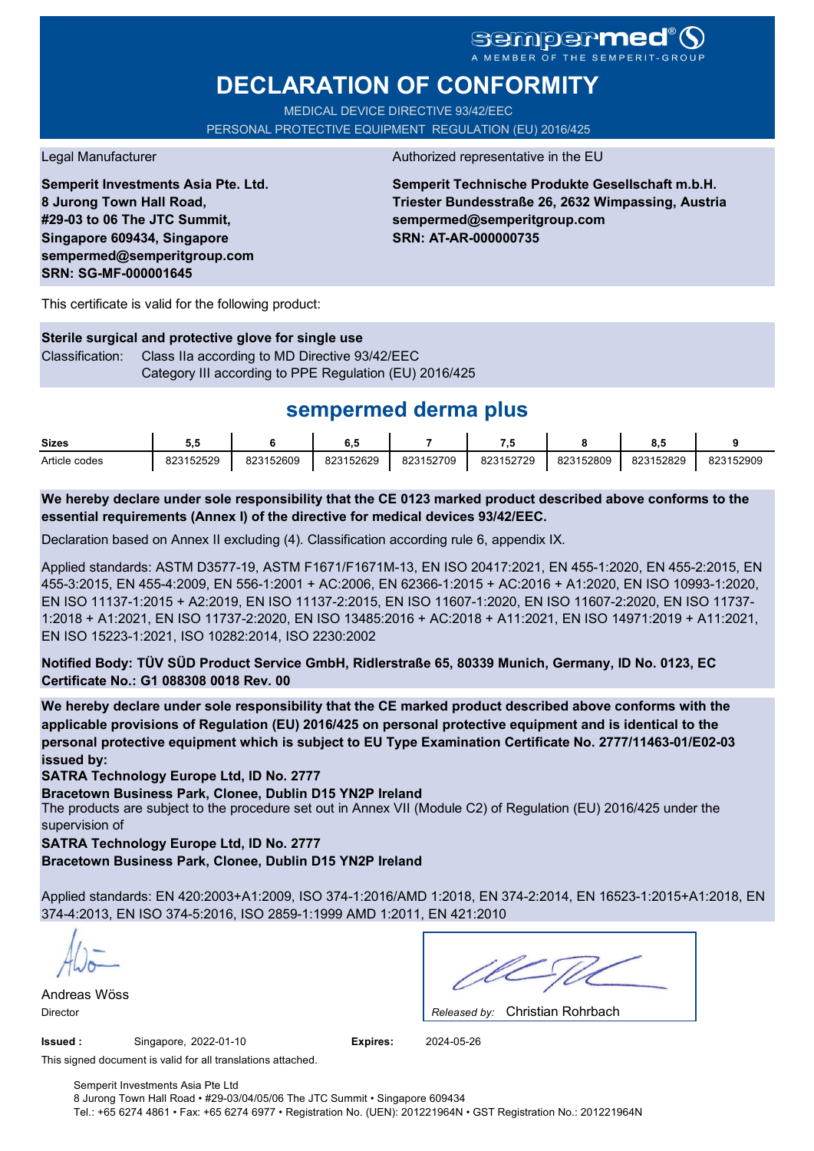# **sempermed**

# **DECLARATION OF CONFORMITY**

MEDICAL DEVICE DIRECTIVE 93/42/EEC PERSONAL PROTECTIVE EQUIPMENT REGULATION (EU) 2016/425

**Semperit Investments Asia Pte. Ltd. 8 Jurong Town Hall Road, #29-03 to 06 The JTC Summit, Singapore 609434, Singapore sempermed@semperitgroup.com SRN: SG-MF-000001645**

#### Legal Manufacturer **Authorized representative in the EU**

**Semperit Technische Produkte Gesellschaft m.b.H. Triester Bundesstraße 26, 2632 Wimpassing, Austria sempermed@semperitgroup.com SRN: AT-AR-000000735**

This certificate is valid for the following product:

**Sterile surgical and protective glove for single use** Classification: Class IIa according to MD Directive 93/42/EEC Category III according to PPE Regulation (EU) 2016/425

## **sempermed derma plus**

| <b>Sizes</b>  | v.v       |           | υ         |           | - 7       |           | ο.υ       |           |
|---------------|-----------|-----------|-----------|-----------|-----------|-----------|-----------|-----------|
| Article codes | 823152529 | 823152609 | 823152629 | 823152709 | 823152729 | 823152809 | 823152829 | 823152909 |

**We hereby declare under sole responsibility that the CE 0123 marked product described above conforms to the essential requirements (Annex I) of the directive for medical devices 93/42/EEC.**

Declaration based on Annex II excluding (4). Classification according rule 6, appendix IX.

Applied standards: ASTM D3577-19, ASTM F1671/F1671M-13, EN ISO 20417:2021, EN 455-1:2020, EN 455-2:2015, EN 455-3:2015, EN 455-4:2009, EN 556-1:2001 + AC:2006, EN 62366-1:2015 + AC:2016 + A1:2020, EN ISO 10993-1:2020, EN ISO 11137-1:2015 + A2:2019, EN ISO 11137-2:2015, EN ISO 11607-1:2020, EN ISO 11607-2:2020, EN ISO 11737- 1:2018 + A1:2021, EN ISO 11737-2:2020, EN ISO 13485:2016 + AC:2018 + A11:2021, EN ISO 14971:2019 + A11:2021, EN ISO 15223-1:2021, ISO 10282:2014, ISO 2230:2002

**Notified Body: TÜV SÜD Product Service GmbH, Ridlerstraße 65, 80339 Munich, Germany, ID No. 0123, EC Certificate No.: G1 088308 0018 Rev. 00** 

**We hereby declare under sole responsibility that the CE marked product described above conforms with the applicable provisions of Regulation (EU) 2016/425 on personal protective equipment and is identical to the personal protective equipment which is subject to EU Type Examination Certificate No. 2777/11463-01/E02-03 issued by:**

**SATRA Technology Europe Ltd, ID No. 2777**

**Bracetown Business Park, Clonee, Dublin D15 YN2P Ireland**

The products are subject to the procedure set out in Annex VII (Module C2) of Regulation (EU) 2016/425 under the supervision of

**SATRA Technology Europe Ltd, ID No. 2777**

**Bracetown Business Park, Clonee, Dublin D15 YN2P Ireland**

Applied standards: EN 420:2003+A1:2009, ISO 374-1:2016/AMD 1:2018, EN 374-2:2014, EN 16523-1:2015+A1:2018, EN 374-4:2013, EN ISO 374-5:2016, ISO 2859-1:1999 AMD 1:2011, EN 421:2010

Andreas Wöss

Christian Rohrbach Director *Released by:* 

**Issued :** Singapore, 2022-01-10 **Expires:** 2024-05-26

This signed document is valid for all translations attached.

Semperit Investments Asia Pte Ltd 8 Jurong Town Hall Road • #29-03/04/05/06 The JTC Summit • Singapore 609434 Tel.: +65 6274 4861 • Fax: +65 6274 6977 • Registration No. (UEN): 201221964N • GST Registration No.: 201221964N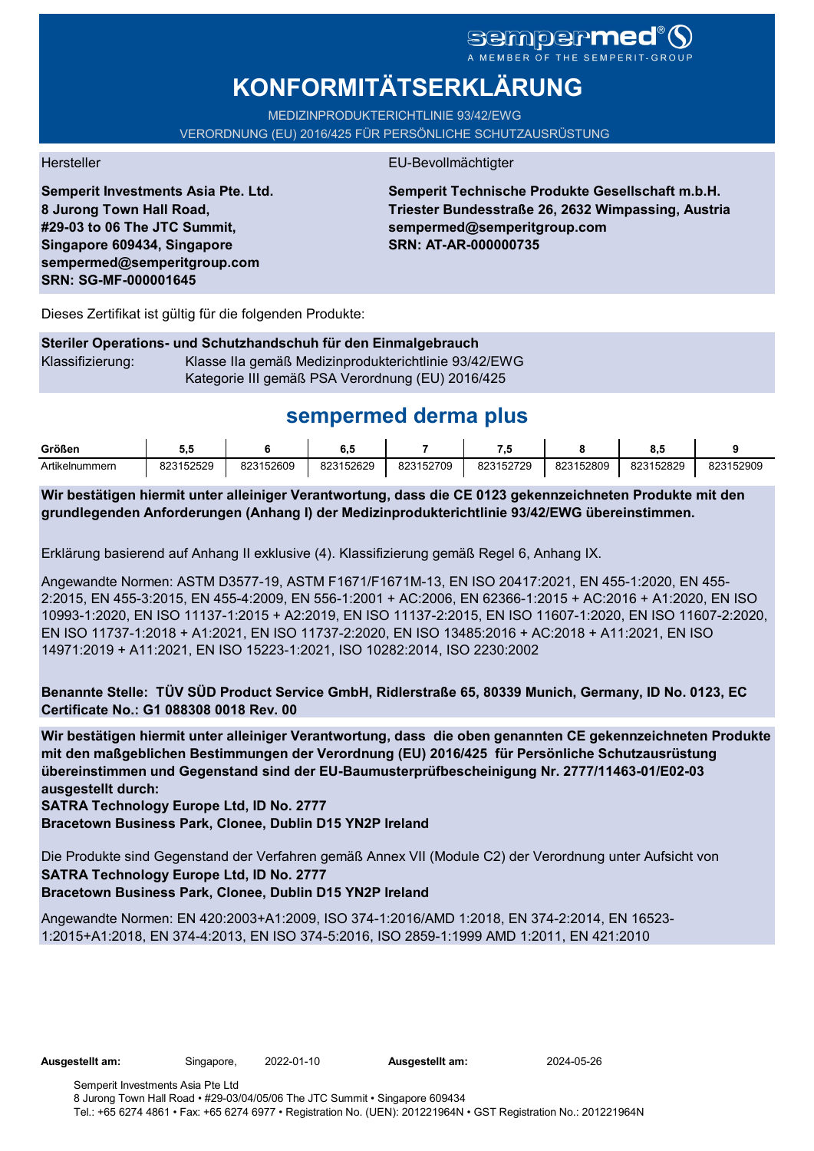# sempermed

# **KONFORMITÄTSERKLÄRUNG**

MEDIZINPRODUKTERICHTLINIE 93/42/EWG VERORDNUNG (EU) 2016/425 FÜR PERSÖNLICHE SCHUTZAUSRÜSTUNG

**Semperit Investments Asia Pte. Ltd. 8 Jurong Town Hall Road, #29-03 to 06 The JTC Summit, Singapore 609434, Singapore sempermed@semperitgroup.com SRN: SG-MF-000001645**

#### Hersteller EU-Bevollmächtigter

**Semperit Technische Produkte Gesellschaft m.b.H. Triester Bundesstraße 26, 2632 Wimpassing, Austria sempermed@semperitgroup.com SRN: AT-AR-000000735**

Dieses Zertifikat ist gültig für die folgenden Produkte:

### **Steriler Operations- und Schutzhandschuh für den Einmalgebrauch** Klassifizierung: Klasse IIa gemäß Medizinprodukterichtlinie 93/42/EWG Kategorie III gemäß PSA Verordnung (EU) 2016/425

## **sempermed derma plus**

| Größen         | J.v       |           | v.u       |           | ۰. .      |           | υ.,       |           |
|----------------|-----------|-----------|-----------|-----------|-----------|-----------|-----------|-----------|
| Artikelnummern | 823152529 | 823152609 | 823152629 | 823152709 | 823152729 | 823152809 | 823152829 | 823152909 |

**Wir bestätigen hiermit unter alleiniger Verantwortung, dass die CE 0123 gekennzeichneten Produkte mit den grundlegenden Anforderungen (Anhang I) der Medizinprodukterichtlinie 93/42/EWG übereinstimmen.**

Erklärung basierend auf Anhang II exklusive (4). Klassifizierung gemäß Regel 6, Anhang IX.

Angewandte Normen: ASTM D3577-19, ASTM F1671/F1671M-13, EN ISO 20417:2021, EN 455-1:2020, EN 455- 2:2015, EN 455-3:2015, EN 455-4:2009, EN 556-1:2001 + AC:2006, EN 62366-1:2015 + AC:2016 + A1:2020, EN ISO 10993-1:2020, EN ISO 11137-1:2015 + A2:2019, EN ISO 11137-2:2015, EN ISO 11607-1:2020, EN ISO 11607-2:2020, EN ISO 11737-1:2018 + A1:2021, EN ISO 11737-2:2020, EN ISO 13485:2016 + AC:2018 + A11:2021, EN ISO 14971:2019 + A11:2021, EN ISO 15223-1:2021, ISO 10282:2014, ISO 2230:2002

**Benannte Stelle: TÜV SÜD Product Service GmbH, Ridlerstraße 65, 80339 Munich, Germany, ID No. 0123, EC Certificate No.: G1 088308 0018 Rev. 00** 

**Wir bestätigen hiermit unter alleiniger Verantwortung, dass die oben genannten CE gekennzeichneten Produkte mit den maßgeblichen Bestimmungen der Verordnung (EU) 2016/425 für Persönliche Schutzausrüstung übereinstimmen und Gegenstand sind der EU-Baumusterprüfbescheinigung Nr. 2777/11463-01/E02-03 ausgestellt durch:**

#### **SATRA Technology Europe Ltd, ID No. 2777**

**Bracetown Business Park, Clonee, Dublin D15 YN2P Ireland**

Die Produkte sind Gegenstand der Verfahren gemäß Annex VII (Module C2) der Verordnung unter Aufsicht von **SATRA Technology Europe Ltd, ID No. 2777**

### **Bracetown Business Park, Clonee, Dublin D15 YN2P Ireland**

Angewandte Normen: EN 420:2003+A1:2009, ISO 374-1:2016/AMD 1:2018, EN 374-2:2014, EN 16523- 1:2015+A1:2018, EN 374-4:2013, EN ISO 374-5:2016, ISO 2859-1:1999 AMD 1:2011, EN 421:2010

**Ausgestellt am:** 2024-05-26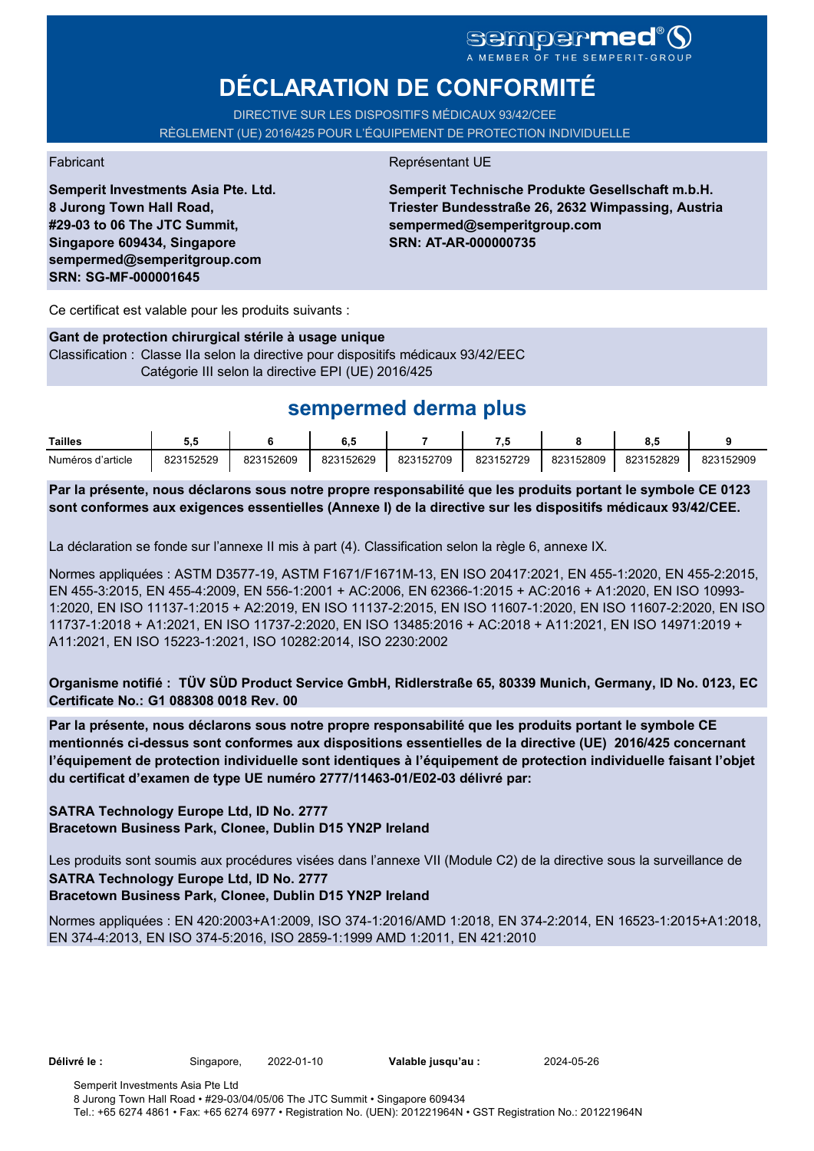# **DÉCLARATION DE CONFORMITÉ**

DIRECTIVE SUR LES DISPOSITIFS MÉDICAUX 93/42/CEE RÈGLEMENT (UE) 2016/425 POUR L'ÉQUIPEMENT DE PROTECTION INDIVIDUELLE

**Semperit Investments Asia Pte. Ltd. 8 Jurong Town Hall Road, #29-03 to 06 The JTC Summit, Singapore 609434, Singapore sempermed@semperitgroup.com SRN: SG-MF-000001645**

#### Fabricant **Représentant UE**

**Semperit Technische Produkte Gesellschaft m.b.H. Triester Bundesstraße 26, 2632 Wimpassing, Austria sempermed@semperitgroup.com SRN: AT-AR-000000735**

Ce certificat est valable pour les produits suivants :

#### **Gant de protection chirurgical stérile à usage unique**

Classification : Classe IIa selon la directive pour dispositifs médicaux 93/42/EEC Catégorie III selon la directive EPI (UE) 2016/425

## **sempermed derma plus**

| Tailles           | u.        |           | υ         |           | .         |           |           |           |
|-------------------|-----------|-----------|-----------|-----------|-----------|-----------|-----------|-----------|
| Numéros d'article | 823152529 | 823152609 | 823152629 | 823152709 | 823152729 | 823152809 | 823152829 | 823152909 |

**Par la présente, nous déclarons sous notre propre responsabilité que les produits portant le symbole CE 0123 sont conformes aux exigences essentielles (Annexe I) de la directive sur les dispositifs médicaux 93/42/CEE.**

La déclaration se fonde sur l'annexe II mis à part (4). Classification selon la règle 6, annexe IX.

Normes appliquées : ASTM D3577-19, ASTM F1671/F1671M-13, EN ISO 20417:2021, EN 455-1:2020, EN 455-2:2015, EN 455-3:2015, EN 455-4:2009, EN 556-1:2001 + AC:2006, EN 62366-1:2015 + AC:2016 + A1:2020, EN ISO 10993- 1:2020, EN ISO 11137-1:2015 + A2:2019, EN ISO 11137-2:2015, EN ISO 11607-1:2020, EN ISO 11607-2:2020, EN ISO 11737-1:2018 + A1:2021, EN ISO 11737-2:2020, EN ISO 13485:2016 + AC:2018 + A11:2021, EN ISO 14971:2019 + A11:2021, EN ISO 15223-1:2021, ISO 10282:2014, ISO 2230:2002

**Organisme notifié : TÜV SÜD Product Service GmbH, Ridlerstraße 65, 80339 Munich, Germany, ID No. 0123, EC Certificate No.: G1 088308 0018 Rev. 00** 

**Par la présente, nous déclarons sous notre propre responsabilité que les produits portant le symbole CE mentionnés ci-dessus sont conformes aux dispositions essentielles de la directive (UE) 2016/425 concernant l'équipement de protection individuelle sont identiques à l'équipement de protection individuelle faisant l'objet du certificat d'examen de type UE numéro 2777/11463-01/E02-03 délivré par:**

#### **SATRA Technology Europe Ltd, ID No. 2777 Bracetown Business Park, Clonee, Dublin D15 YN2P Ireland**

Les produits sont soumis aux procédures visées dans l'annexe VII (Module C2) de la directive sous la surveillance de **SATRA Technology Europe Ltd, ID No. 2777**

### **Bracetown Business Park, Clonee, Dublin D15 YN2P Ireland**

Normes appliquées : EN 420:2003+A1:2009, ISO 374-1:2016/AMD 1:2018, EN 374-2:2014, EN 16523-1:2015+A1:2018, EN 374-4:2013, EN ISO 374-5:2016, ISO 2859-1:1999 AMD 1:2011, EN 421:2010

**Délivré le :** Singapore, **Valable jusqu'au :** 2022-01-10 2024-05-26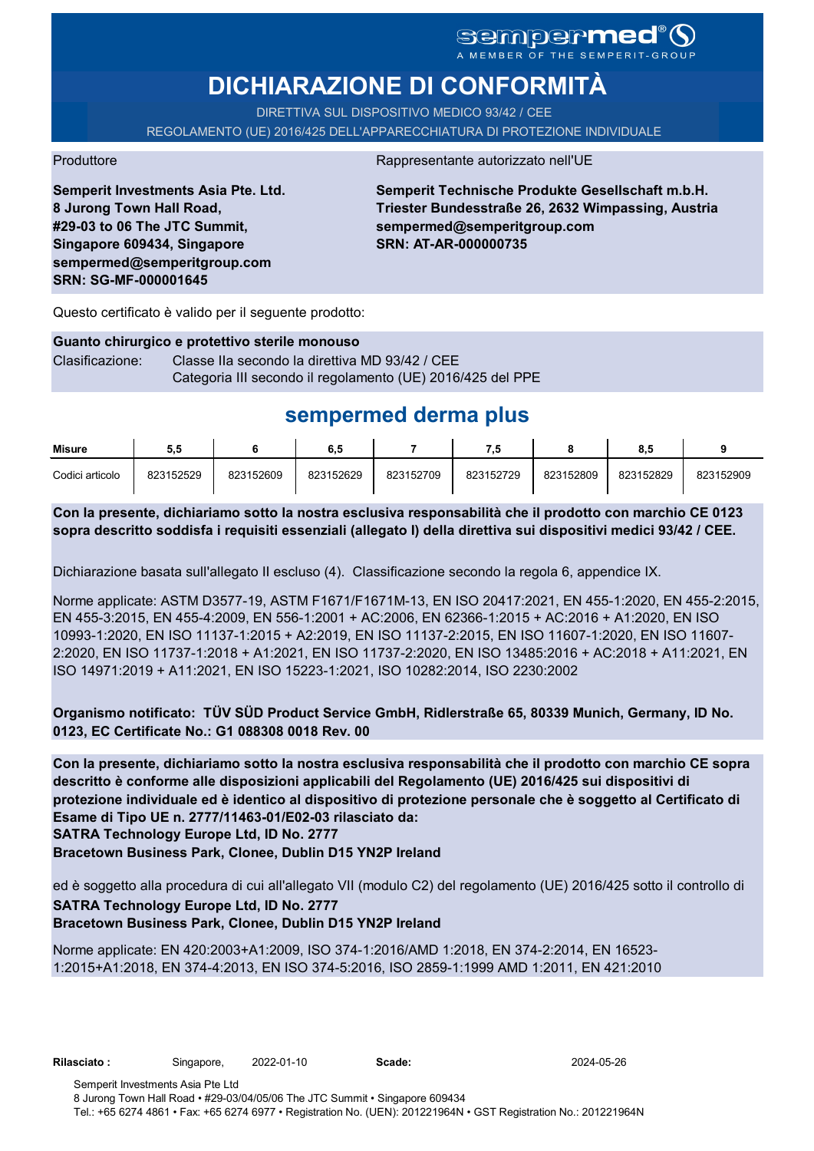# **DICHIARAZIONE DI CONFORMITÀ**

DIRETTIVA SUL DISPOSITIVO MEDICO 93/42 / CEE REGOLAMENTO (UE) 2016/425 DELL'APPARECCHIATURA DI PROTEZIONE INDIVIDUALE

Produttore Rappresentante autorizzato nell'UE

**Semperit Investments Asia Pte. Ltd. 8 Jurong Town Hall Road, #29-03 to 06 The JTC Summit, Singapore 609434, Singapore sempermed@semperitgroup.com SRN: SG-MF-000001645**

**Semperit Technische Produkte Gesellschaft m.b.H. Triester Bundesstraße 26, 2632 Wimpassing, Austria sempermed@semperitgroup.com SRN: AT-AR-000000735**

Questo certificato è valido per il seguente prodotto:

### **Guanto chirurgico e protettivo sterile monouso** Clasificazione: Classe IIa secondo la direttiva MD 93/42 / CEE Categoria III secondo il regolamento (UE) 2016/425 del PPE

# **sempermed derma plus**

| <b>Misure</b>   | 5.5       |           | 6.5       |           | - 7       |           | υ.υ       |           |
|-----------------|-----------|-----------|-----------|-----------|-----------|-----------|-----------|-----------|
| Codici articolo | 823152529 | 823152609 | 823152629 | 823152709 | 823152729 | 823152809 | 823152829 | 823152909 |

**Con la presente, dichiariamo sotto la nostra esclusiva responsabilità che il prodotto con marchio CE 0123 sopra descritto soddisfa i requisiti essenziali (allegato I) della direttiva sui dispositivi medici 93/42 / CEE.**

Dichiarazione basata sull'allegato II escluso (4). Classificazione secondo la regola 6, appendice IX.

Norme applicate: ASTM D3577-19, ASTM F1671/F1671M-13, EN ISO 20417:2021, EN 455-1:2020, EN 455-2:2015, EN 455-3:2015, EN 455-4:2009, EN 556-1:2001 + AC:2006, EN 62366-1:2015 + AC:2016 + A1:2020, EN ISO 10993-1:2020, EN ISO 11137-1:2015 + A2:2019, EN ISO 11137-2:2015, EN ISO 11607-1:2020, EN ISO 11607- 2:2020, EN ISO 11737-1:2018 + A1:2021, EN ISO 11737-2:2020, EN ISO 13485:2016 + AC:2018 + A11:2021, EN ISO 14971:2019 + A11:2021, EN ISO 15223-1:2021, ISO 10282:2014, ISO 2230:2002

**Organismo notificato: TÜV SÜD Product Service GmbH, Ridlerstraße 65, 80339 Munich, Germany, ID No. 0123, EC Certificate No.: G1 088308 0018 Rev. 00** 

**SATRA Technology Europe Ltd, ID No. 2777 Con la presente, dichiariamo sotto la nostra esclusiva responsabilità che il prodotto con marchio CE sopra descritto è conforme alle disposizioni applicabili del Regolamento (UE) 2016/425 sui dispositivi di protezione individuale ed è identico al dispositivo di protezione personale che è soggetto al Certificato di Esame di Tipo UE n. 2777/11463-01/E02-03 rilasciato da:**

**Bracetown Business Park, Clonee, Dublin D15 YN2P Ireland**

ed è soggetto alla procedura di cui all'allegato VII (modulo C2) del regolamento (UE) 2016/425 sotto il controllo di **SATRA Technology Europe Ltd, ID No. 2777**

### **Bracetown Business Park, Clonee, Dublin D15 YN2P Ireland**

Norme applicate: EN 420:2003+A1:2009, ISO 374-1:2016/AMD 1:2018, EN 374-2:2014, EN 16523- 1:2015+A1:2018, EN 374-4:2013, EN ISO 374-5:2016, ISO 2859-1:1999 AMD 1:2011, EN 421:2010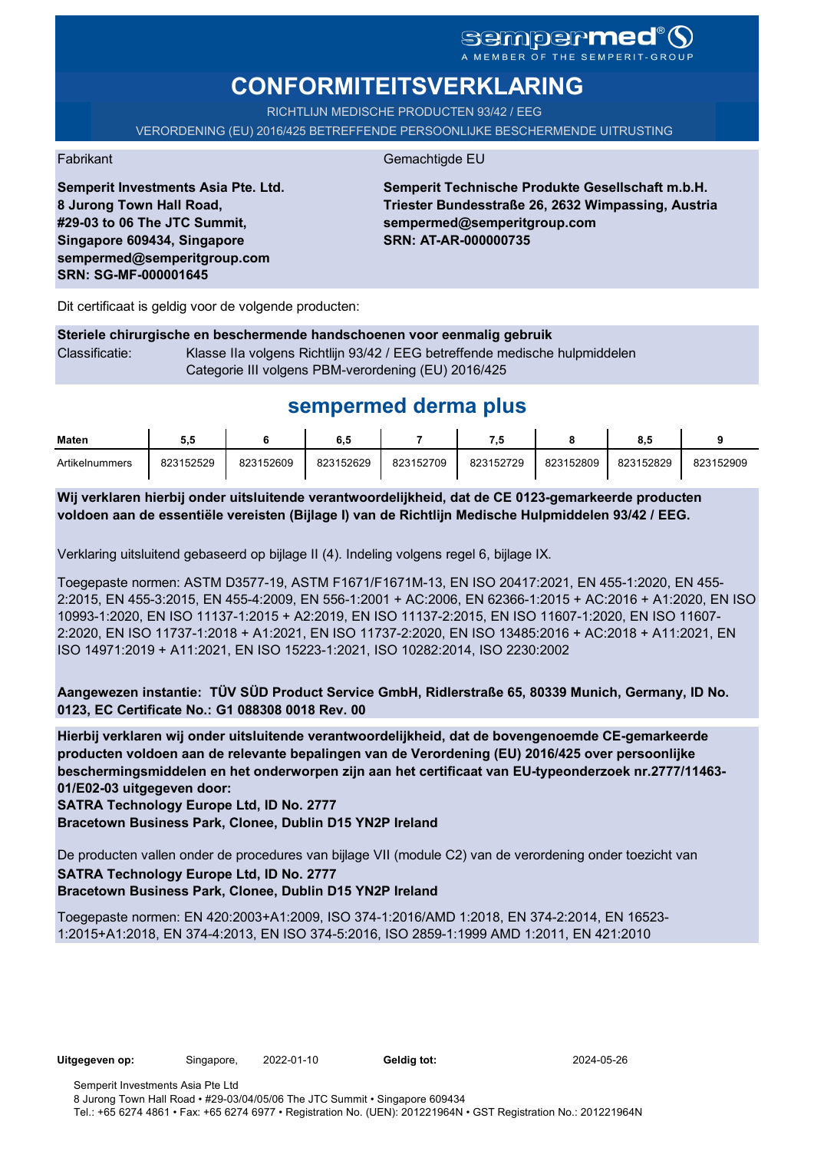# **CONFORMITEITSVERKLARING**

RICHTLIJN MEDISCHE PRODUCTEN 93/42 / EEG

VERORDENING (EU) 2016/425 BETREFFENDE PERSOONLIJKE BESCHERMENDE UITRUSTING

Fabrikant Gemachtigde EU

**Semperit Technische Produkte Gesellschaft m.b.H. Triester Bundesstraße 26, 2632 Wimpassing, Austria sempermed@semperitgroup.com SRN: AT-AR-000000735**

Dit certificaat is geldig voor de volgende producten:

**Semperit Investments Asia Pte. Ltd.**

**8 Jurong Town Hall Road, #29-03 to 06 The JTC Summit, Singapore 609434, Singapore sempermed@semperitgroup.com**

**SRN: SG-MF-000001645**

**Steriele chirurgische en beschermende handschoenen voor eenmalig gebruik** Classificatie: Klasse IIa volgens Richtlijn 93/42 / EEG betreffende medische hulpmiddelen Categorie III volgens PBM-verordening (EU) 2016/425

## **sempermed derma plus**

| <b>Maten</b>   | ວ.ວ       |           | 6.5       |           | - 7       |           | о         |           |
|----------------|-----------|-----------|-----------|-----------|-----------|-----------|-----------|-----------|
| Artikelnummers | 823152529 | 823152609 | 823152629 | 823152709 | 823152729 | 823152809 | 823152829 | 823152909 |

**Wij verklaren hierbij onder uitsluitende verantwoordelijkheid, dat de CE 0123-gemarkeerde producten voldoen aan de essentiële vereisten (Bijlage I) van de Richtlijn Medische Hulpmiddelen 93/42 / EEG.**

Verklaring uitsluitend gebaseerd op bijlage II (4). Indeling volgens regel 6, bijlage IX.

Toegepaste normen: ASTM D3577-19, ASTM F1671/F1671M-13, EN ISO 20417:2021, EN 455-1:2020, EN 455- 2:2015, EN 455-3:2015, EN 455-4:2009, EN 556-1:2001 + AC:2006, EN 62366-1:2015 + AC:2016 + A1:2020, EN ISO 10993-1:2020, EN ISO 11137-1:2015 + A2:2019, EN ISO 11137-2:2015, EN ISO 11607-1:2020, EN ISO 11607- 2:2020, EN ISO 11737-1:2018 + A1:2021, EN ISO 11737-2:2020, EN ISO 13485:2016 + AC:2018 + A11:2021, EN ISO 14971:2019 + A11:2021, EN ISO 15223-1:2021, ISO 10282:2014, ISO 2230:2002

**Aangewezen instantie: TÜV SÜD Product Service GmbH, Ridlerstraße 65, 80339 Munich, Germany, ID No. 0123, EC Certificate No.: G1 088308 0018 Rev. 00** 

**Hierbij verklaren wij onder uitsluitende verantwoordelijkheid, dat de bovengenoemde CE-gemarkeerde producten voldoen aan de relevante bepalingen van de Verordening (EU) 2016/425 over persoonlijke beschermingsmiddelen en het onderworpen zijn aan het certificaat van EU-typeonderzoek nr.2777/11463- 01/E02-03 uitgegeven door:**

**SATRA Technology Europe Ltd, ID No. 2777**

**Bracetown Business Park, Clonee, Dublin D15 YN2P Ireland**

De producten vallen onder de procedures van bijlage VII (module C2) van de verordening onder toezicht van **SATRA Technology Europe Ltd, ID No. 2777 Bracetown Business Park, Clonee, Dublin D15 YN2P Ireland**

Toegepaste normen: EN 420:2003+A1:2009, ISO 374-1:2016/AMD 1:2018, EN 374-2:2014, EN 16523- 1:2015+A1:2018, EN 374-4:2013, EN ISO 374-5:2016, ISO 2859-1:1999 AMD 1:2011, EN 421:2010

**Uitgegeven op:** Singapore, 2022-01-10

Geldig tot: 2024-05-26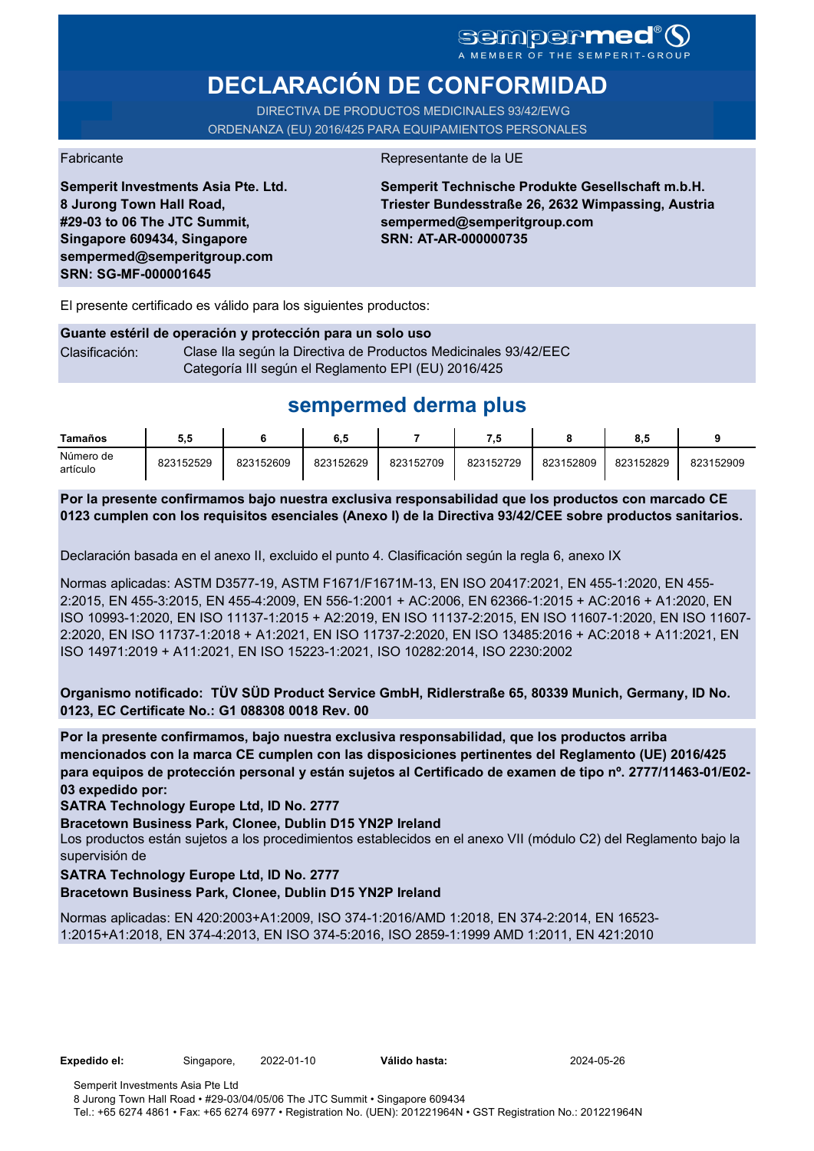# **DECLARACIÓN DE CONFORMIDAD**

DIRECTIVA DE PRODUCTOS MEDICINALES 93/42/EWG ORDENANZA (EU) 2016/425 PARA EQUIPAMIENTOS PERSONALES

**Semperit Investments Asia Pte. Ltd.**

**8 Jurong Town Hall Road, #29-03 to 06 The JTC Summit, Singapore 609434, Singapore sempermed@semperitgroup.com**

**SRN: SG-MF-000001645**

Fabricante de la UE

**Semperit Technische Produkte Gesellschaft m.b.H. Triester Bundesstraße 26, 2632 Wimpassing, Austria sempermed@semperitgroup.com SRN: AT-AR-000000735**

El presente certificado es válido para los siguientes productos:

#### **Guante estéril de operación y protección para un solo uso** Clasificación: Clase Ila según la Directiva de Productos Medicinales 93/42/EEC Categoría III según el Reglamento EPI (EU) 2016/425

## **sempermed derma plus**

| Tamaños               | 5.5       |           | 6,5       |           |           |           | 8.5       |           |
|-----------------------|-----------|-----------|-----------|-----------|-----------|-----------|-----------|-----------|
| Número de<br>artículo | 823152529 | 823152609 | 823152629 | 823152709 | 823152729 | 823152809 | 823152829 | 823152909 |

**Por la presente confirmamos bajo nuestra exclusiva responsabilidad que los productos con marcado CE 0123 cumplen con los requisitos esenciales (Anexo I) de la Directiva 93/42/CEE sobre productos sanitarios.**

Declaración basada en el anexo II, excluido el punto 4. Clasificación según la regla 6, anexo IX

Normas aplicadas: ASTM D3577-19, ASTM F1671/F1671M-13, EN ISO 20417:2021, EN 455-1:2020, EN 455- 2:2015, EN 455-3:2015, EN 455-4:2009, EN 556-1:2001 + AC:2006, EN 62366-1:2015 + AC:2016 + A1:2020, EN ISO 10993-1:2020, EN ISO 11137-1:2015 + A2:2019, EN ISO 11137-2:2015, EN ISO 11607-1:2020, EN ISO 11607- 2:2020, EN ISO 11737-1:2018 + A1:2021, EN ISO 11737-2:2020, EN ISO 13485:2016 + AC:2018 + A11:2021, EN ISO 14971:2019 + A11:2021, EN ISO 15223-1:2021, ISO 10282:2014, ISO 2230:2002

**Organismo notificado: TÜV SÜD Product Service GmbH, Ridlerstraße 65, 80339 Munich, Germany, ID No. 0123, EC Certificate No.: G1 088308 0018 Rev. 00** 

**Por la presente confirmamos, bajo nuestra exclusiva responsabilidad, que los productos arriba mencionados con la marca CE cumplen con las disposiciones pertinentes del Reglamento (UE) 2016/425 para equipos de protección personal y están sujetos al Certificado de examen de tipo nº. 2777/11463-01/E02- 03 expedido por:**

**SATRA Technology Europe Ltd, ID No. 2777**

**Bracetown Business Park, Clonee, Dublin D15 YN2P Ireland**

Los productos están sujetos a los procedimientos establecidos en el anexo VII (módulo C2) del Reglamento bajo la supervisión de

#### **SATRA Technology Europe Ltd, ID No. 2777**

**Bracetown Business Park, Clonee, Dublin D15 YN2P Ireland**

Normas aplicadas: EN 420:2003+A1:2009, ISO 374-1:2016/AMD 1:2018, EN 374-2:2014, EN 16523- 1:2015+A1:2018, EN 374-4:2013, EN ISO 374-5:2016, ISO 2859-1:1999 AMD 1:2011, EN 421:2010

Válido hasta: 2024-05-26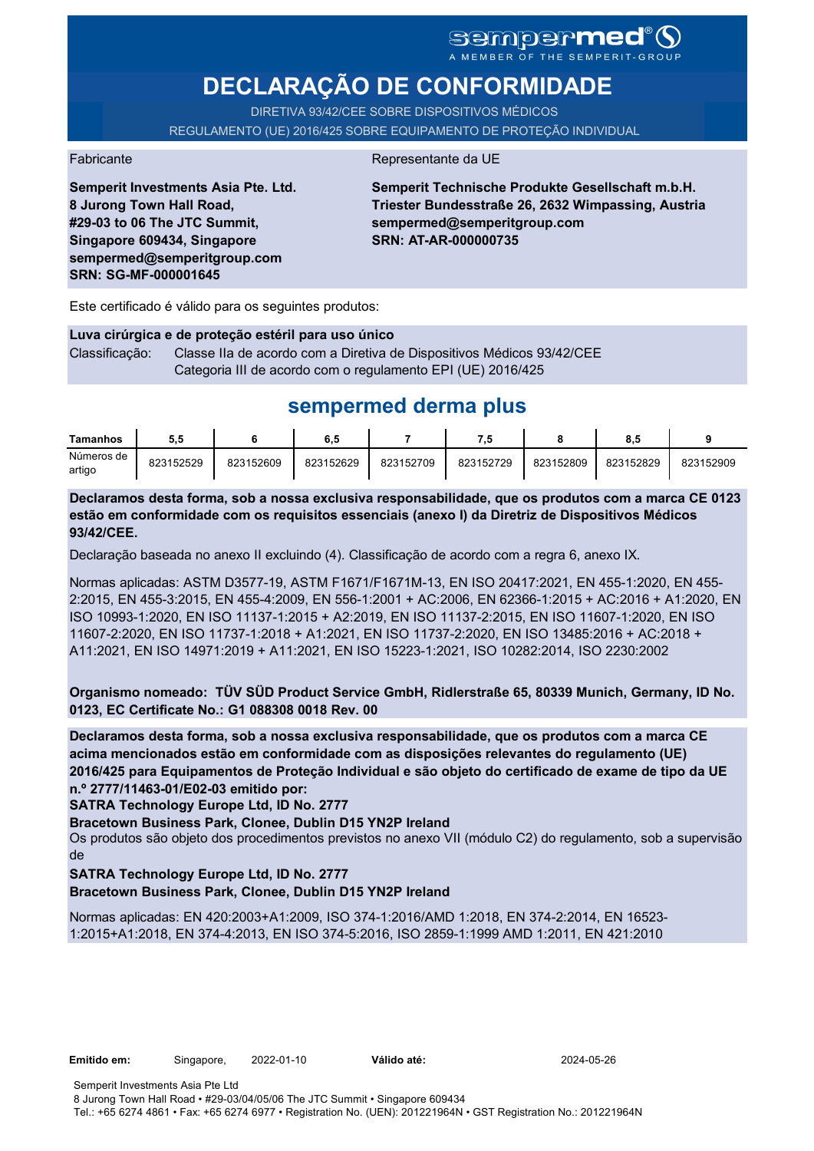# SCMPCFMCC<sup>®</sup>

# **DECLARAÇÃO DE CONFORMIDADE**

DIRETIVA 93/42/CEE SOBRE DISPOSITIVOS MÉDICOS REGULAMENTO (UE) 2016/425 SOBRE EQUIPAMENTO DE PROTEÇÃO INDIVIDUAL

#### Fabricante **Representante da UE**

**Semperit Investments Asia Pte. Ltd. 8 Jurong Town Hall Road, #29-03 to 06 The JTC Summit, Singapore 609434, Singapore sempermed@semperitgroup.com SRN: SG-MF-000001645**

**Semperit Technische Produkte Gesellschaft m.b.H. Triester Bundesstraße 26, 2632 Wimpassing, Austria sempermed@semperitgroup.com SRN: AT-AR-000000735**

Este certificado é válido para os seguintes produtos:

**Luva cirúrgica e de proteção estéril para uso único** Classificação: Classe IIa de acordo com a Diretiva de Dispositivos Médicos 93/42/CEE Categoria III de acordo com o regulamento EPI (UE) 2016/425

## **sempermed derma plus**

| <b>Tamanhos</b>      | 5.5       |           | 6,5       |           | - 5       |           | ۰<br>o.a  |           |
|----------------------|-----------|-----------|-----------|-----------|-----------|-----------|-----------|-----------|
| Números de<br>artigo | 823152529 | 823152609 | 823152629 | 823152709 | 823152729 | 823152809 | 823152829 | 823152909 |

**Declaramos desta forma, sob a nossa exclusiva responsabilidade, que os produtos com a marca CE 0123 estão em conformidade com os requisitos essenciais (anexo I) da Diretriz de Dispositivos Médicos 93/42/CEE.**

Declaração baseada no anexo II excluindo (4). Classificação de acordo com a regra 6, anexo IX.

Normas aplicadas: ASTM D3577-19, ASTM F1671/F1671M-13, EN ISO 20417:2021, EN 455-1:2020, EN 455- 2:2015, EN 455-3:2015, EN 455-4:2009, EN 556-1:2001 + AC:2006, EN 62366-1:2015 + AC:2016 + A1:2020, EN ISO 10993-1:2020, EN ISO 11137-1:2015 + A2:2019, EN ISO 11137-2:2015, EN ISO 11607-1:2020, EN ISO 11607-2:2020, EN ISO 11737-1:2018 + A1:2021, EN ISO 11737-2:2020, EN ISO 13485:2016 + AC:2018 + A11:2021, EN ISO 14971:2019 + A11:2021, EN ISO 15223-1:2021, ISO 10282:2014, ISO 2230:2002

**Organismo nomeado: TÜV SÜD Product Service GmbH, Ridlerstraße 65, 80339 Munich, Germany, ID No. 0123, EC Certificate No.: G1 088308 0018 Rev. 00** 

**Declaramos desta forma, sob a nossa exclusiva responsabilidade, que os produtos com a marca CE acima mencionados estão em conformidade com as disposições relevantes do regulamento (UE) 2016/425 para Equipamentos de Proteção Individual e são objeto do certificado de exame de tipo da UE n.º 2777/11463-01/E02-03 emitido por:**

**SATRA Technology Europe Ltd, ID No. 2777**

**Bracetown Business Park, Clonee, Dublin D15 YN2P Ireland**

Os produtos são objeto dos procedimentos previstos no anexo VII (módulo C2) do regulamento, sob a supervisão de

**SATRA Technology Europe Ltd, ID No. 2777**

**Bracetown Business Park, Clonee, Dublin D15 YN2P Ireland**

Normas aplicadas: EN 420:2003+A1:2009, ISO 374-1:2016/AMD 1:2018, EN 374-2:2014, EN 16523- 1:2015+A1:2018, EN 374-4:2013, EN ISO 374-5:2016, ISO 2859-1:1999 AMD 1:2011, EN 421:2010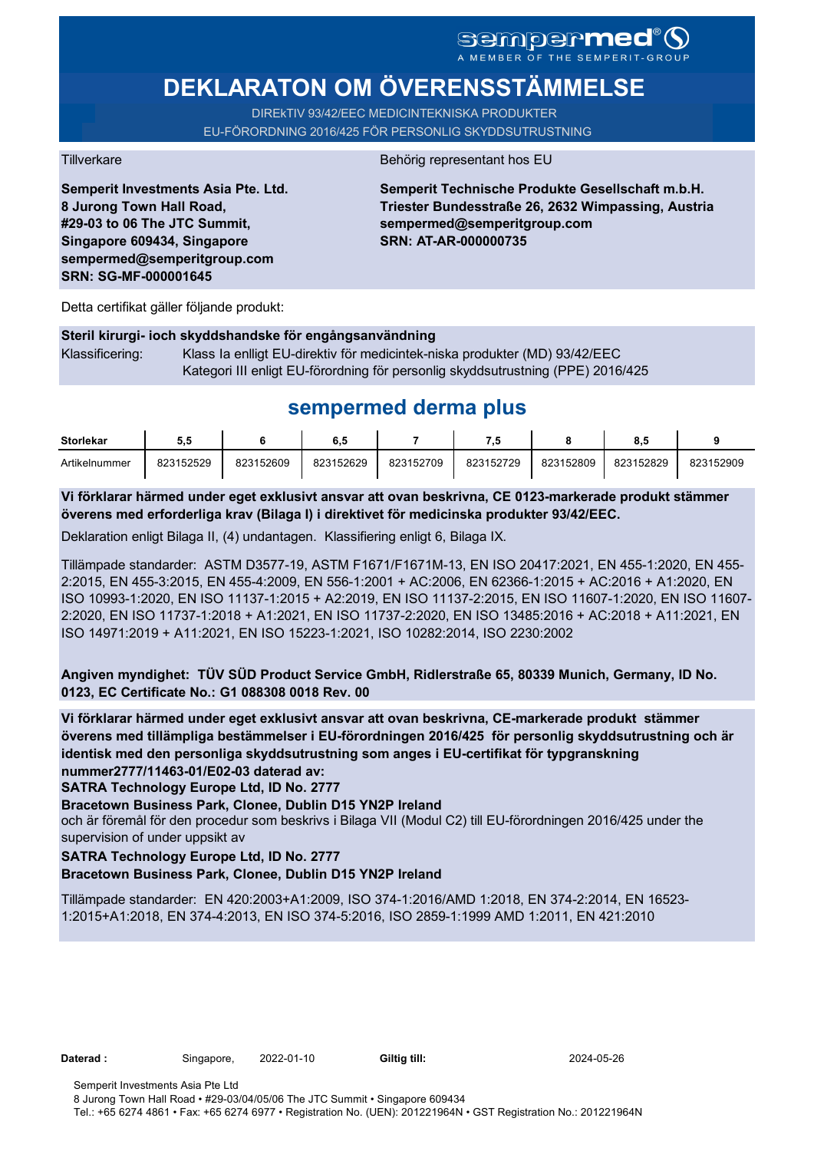# **DEKLARATON OM ÖVERENSSTÄMMELSE**

DIREkTIV 93/42/EEC MEDICINTEKNISKA PRODUKTER EU-FÖRORDNING 2016/425 FÖR PERSONLIG SKYDDSUTRUSTNING

**Semperit Investments Asia Pte. Ltd. 8 Jurong Town Hall Road, #29-03 to 06 The JTC Summit, Singapore 609434, Singapore sempermed@semperitgroup.com SRN: SG-MF-000001645**

#### Tillverkare Behörig representant hos EU

**Semperit Technische Produkte Gesellschaft m.b.H. Triester Bundesstraße 26, 2632 Wimpassing, Austria sempermed@semperitgroup.com SRN: AT-AR-000000735**

Detta certifikat gäller följande produkt:

### **Steril kirurgi- ioch skyddshandske för engångsanvändning**  Klassificering: Klass Ia enlligt EU-direktiv för medicintek-niska produkter (MD) 93/42/EEC Kategori III enligt EU-förordning för personlig skyddsutrustning (PPE) 2016/425

## **sempermed derma plus**

| <b>Storlekar</b> | ວ.ວ       |           | 6,5       |           |           |           | $\bullet$<br>0. |           |
|------------------|-----------|-----------|-----------|-----------|-----------|-----------|-----------------|-----------|
| Artikelnummer    | 823152529 | 823152609 | 823152629 | 823152709 | 823152729 | 823152809 | 823152829       | 823152909 |

**Vi förklarar härmed under eget exklusivt ansvar att ovan beskrivna, CE 0123-markerade produkt stämmer överens med erforderliga krav (Bilaga I) i direktivet för medicinska produkter 93/42/EEC.**

Deklaration enligt Bilaga II, (4) undantagen. Klassifiering enligt 6, Bilaga IX.

Tillämpade standarder: ASTM D3577-19, ASTM F1671/F1671M-13, EN ISO 20417:2021, EN 455-1:2020, EN 455- 2:2015, EN 455-3:2015, EN 455-4:2009, EN 556-1:2001 + AC:2006, EN 62366-1:2015 + AC:2016 + A1:2020, EN ISO 10993-1:2020, EN ISO 11137-1:2015 + A2:2019, EN ISO 11137-2:2015, EN ISO 11607-1:2020, EN ISO 11607- 2:2020, EN ISO 11737-1:2018 + A1:2021, EN ISO 11737-2:2020, EN ISO 13485:2016 + AC:2018 + A11:2021, EN ISO 14971:2019 + A11:2021, EN ISO 15223-1:2021, ISO 10282:2014, ISO 2230:2002

**Angiven myndighet: TÜV SÜD Product Service GmbH, Ridlerstraße 65, 80339 Munich, Germany, ID No. 0123, EC Certificate No.: G1 088308 0018 Rev. 00** 

**Vi förklarar härmed under eget exklusivt ansvar att ovan beskrivna, CE-markerade produkt stämmer överens med tillämpliga bestämmelser i EU-förordningen 2016/425 för personlig skyddsutrustning och är identisk med den personliga skyddsutrustning som anges i EU-certifikat för typgranskning nummer2777/11463-01/E02-03 daterad av:**

**SATRA Technology Europe Ltd, ID No. 2777**

**Bracetown Business Park, Clonee, Dublin D15 YN2P Ireland**

och är föremål för den procedur som beskrivs i Bilaga VII (Modul C2) till EU-förordningen 2016/425 under the supervision of under uppsikt av

### **SATRA Technology Europe Ltd, ID No. 2777**

### **Bracetown Business Park, Clonee, Dublin D15 YN2P Ireland**

Tillämpade standarder: EN 420:2003+A1:2009, ISO 374-1:2016/AMD 1:2018, EN 374-2:2014, EN 16523- 1:2015+A1:2018, EN 374-4:2013, EN ISO 374-5:2016, ISO 2859-1:1999 AMD 1:2011, EN 421:2010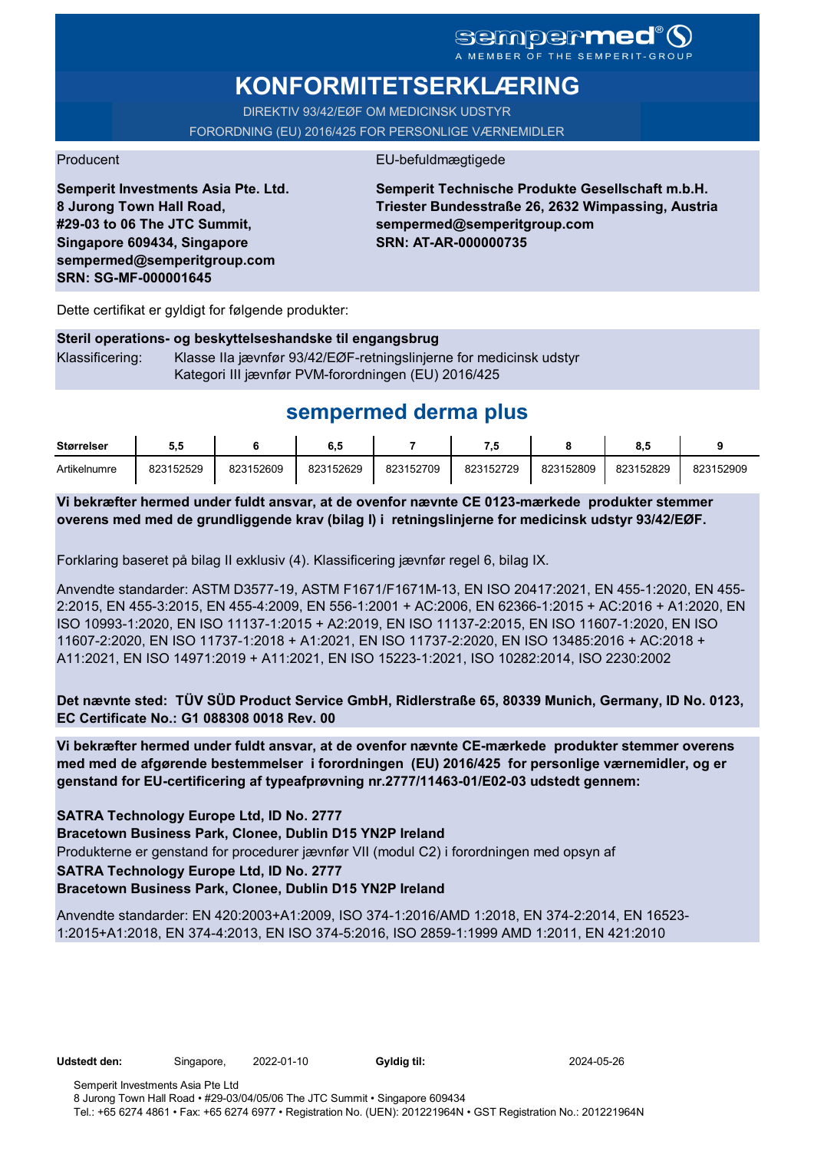# **KONFORMITETSERKLÆRING**

DIREKTIV 93/42/EØF OM MEDICINSK UDSTYR FORORDNING (EU) 2016/425 FOR PERSONLIGE VÆRNEMIDLER

### Producent EU-befuldmægtigede

**Semperit Investments Asia Pte. Ltd. 8 Jurong Town Hall Road, #29-03 to 06 The JTC Summit, Singapore 609434, Singapore sempermed@semperitgroup.com SRN: SG-MF-000001645**

**Semperit Technische Produkte Gesellschaft m.b.H. Triester Bundesstraße 26, 2632 Wimpassing, Austria sempermed@semperitgroup.com SRN: AT-AR-000000735**

Dette certifikat er gyldigt for følgende produkter:

### **Steril operations- og beskyttelseshandske til engangsbrug** Klassificering: Klasse IIa jævnfør 93/42/EØF-retningslinjerne for medicinsk udstyr Kategori III jævnfør PVM-forordningen (EU) 2016/425

# **sempermed derma plus**

| <b>Størrelser</b> | ບ.ບ       |           | ხ.მ       |           | . .       |           | υ.,       |           |
|-------------------|-----------|-----------|-----------|-----------|-----------|-----------|-----------|-----------|
| Artikelnumre      | 823152529 | 823152609 | 823152629 | 823152709 | 823152729 | 823152809 | 823152829 | 823152909 |

**Vi bekræfter hermed under fuldt ansvar, at de ovenfor nævnte CE 0123-mærkede produkter stemmer overens med med de grundliggende krav (bilag I) i retningslinjerne for medicinsk udstyr 93/42/EØF.**

Forklaring baseret på bilag II exklusiv (4). Klassificering jævnfør regel 6, bilag IX.

Anvendte standarder: ASTM D3577-19, ASTM F1671/F1671M-13, EN ISO 20417:2021, EN 455-1:2020, EN 455- 2:2015, EN 455-3:2015, EN 455-4:2009, EN 556-1:2001 + AC:2006, EN 62366-1:2015 + AC:2016 + A1:2020, EN ISO 10993-1:2020, EN ISO 11137-1:2015 + A2:2019, EN ISO 11137-2:2015, EN ISO 11607-1:2020, EN ISO 11607-2:2020, EN ISO 11737-1:2018 + A1:2021, EN ISO 11737-2:2020, EN ISO 13485:2016 + AC:2018 + A11:2021, EN ISO 14971:2019 + A11:2021, EN ISO 15223-1:2021, ISO 10282:2014, ISO 2230:2002

**Det nævnte sted: TÜV SÜD Product Service GmbH, Ridlerstraße 65, 80339 Munich, Germany, ID No. 0123, EC Certificate No.: G1 088308 0018 Rev. 00** 

**Vi bekræfter hermed under fuldt ansvar, at de ovenfor nævnte CE-mærkede produkter stemmer overens med med de afgørende bestemmelser i forordningen (EU) 2016/425 for personlige værnemidler, og er genstand for EU-certificering af typeafprøvning nr.2777/11463-01/E02-03 udstedt gennem:**

### **SATRA Technology Europe Ltd, ID No. 2777**

**Bracetown Business Park, Clonee, Dublin D15 YN2P Ireland**

Produkterne er genstand for procedurer jævnfør VII (modul C2) i forordningen med opsyn af

#### **SATRA Technology Europe Ltd, ID No. 2777**

**Bracetown Business Park, Clonee, Dublin D15 YN2P Ireland**

Anvendte standarder: EN 420:2003+A1:2009, ISO 374-1:2016/AMD 1:2018, EN 374-2:2014, EN 16523- 1:2015+A1:2018, EN 374-4:2013, EN ISO 374-5:2016, ISO 2859-1:1999 AMD 1:2011, EN 421:2010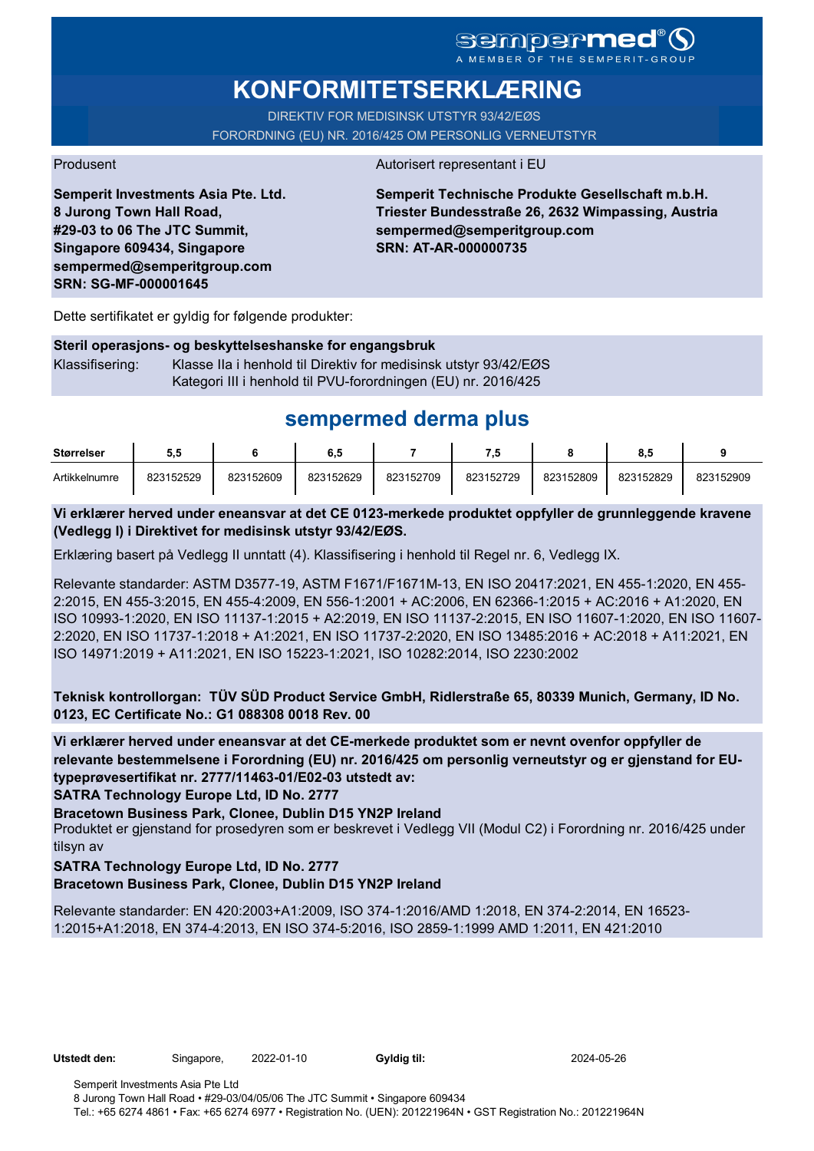# **KONFORMITETSERKLÆRING**

DIREKTIV FOR MEDISINSK UTSTYR 93/42/EØS FORORDNING (EU) NR. 2016/425 OM PERSONLIG VERNEUTSTYR

#### Produsent Autorisert representant i EU

**Semperit Investments Asia Pte. Ltd. 8 Jurong Town Hall Road, #29-03 to 06 The JTC Summit, Singapore 609434, Singapore sempermed@semperitgroup.com SRN: SG-MF-000001645**

**Semperit Technische Produkte Gesellschaft m.b.H. Triester Bundesstraße 26, 2632 Wimpassing, Austria sempermed@semperitgroup.com SRN: AT-AR-000000735**

Dette sertifikatet er gyldig for følgende produkter:

#### **Steril operasjons- og beskyttelseshanske for engangsbruk**

Klassifisering: Klasse IIa i henhold til Direktiv for medisinsk utstyr 93/42/EØS Kategori III i henhold til PVU-forordningen (EU) nr. 2016/425

## **sempermed derma plus**

| <b>Størrelser</b> | ວ.ວ       |           | 6,5       |           | - 7       |           | o.c       |           |
|-------------------|-----------|-----------|-----------|-----------|-----------|-----------|-----------|-----------|
| Artikkelnumre     | 823152529 | 823152609 | 823152629 | 823152709 | 823152729 | 823152809 | 823152829 | 823152909 |

#### **Vi erklærer herved under eneansvar at det CE 0123-merkede produktet oppfyller de grunnleggende kravene (Vedlegg I) i Direktivet for medisinsk utstyr 93/42/EØS.**

Erklæring basert på Vedlegg II unntatt (4). Klassifisering i henhold til Regel nr. 6, Vedlegg IX.

Relevante standarder: ASTM D3577-19, ASTM F1671/F1671M-13, EN ISO 20417:2021, EN 455-1:2020, EN 455- 2:2015, EN 455-3:2015, EN 455-4:2009, EN 556-1:2001 + AC:2006, EN 62366-1:2015 + AC:2016 + A1:2020, EN ISO 10993-1:2020, EN ISO 11137-1:2015 + A2:2019, EN ISO 11137-2:2015, EN ISO 11607-1:2020, EN ISO 11607- 2:2020, EN ISO 11737-1:2018 + A1:2021, EN ISO 11737-2:2020, EN ISO 13485:2016 + AC:2018 + A11:2021, EN ISO 14971:2019 + A11:2021, EN ISO 15223-1:2021, ISO 10282:2014, ISO 2230:2002

**Teknisk kontrollorgan: TÜV SÜD Product Service GmbH, Ridlerstraße 65, 80339 Munich, Germany, ID No. 0123, EC Certificate No.: G1 088308 0018 Rev. 00** 

**Vi erklærer herved under eneansvar at det CE-merkede produktet som er nevnt ovenfor oppfyller de relevante bestemmelsene i Forordning (EU) nr. 2016/425 om personlig verneutstyr og er gjenstand for EUtypeprøvesertifikat nr. 2777/11463-01/E02-03 utstedt av:**

**SATRA Technology Europe Ltd, ID No. 2777**

**Bracetown Business Park, Clonee, Dublin D15 YN2P Ireland**

Produktet er gjenstand for prosedyren som er beskrevet i Vedlegg VII (Modul C2) i Forordning nr. 2016/425 under tilsyn av

#### **SATRA Technology Europe Ltd, ID No. 2777**

**Bracetown Business Park, Clonee, Dublin D15 YN2P Ireland**

Relevante standarder: EN 420:2003+A1:2009, ISO 374-1:2016/AMD 1:2018, EN 374-2:2014, EN 16523- 1:2015+A1:2018, EN 374-4:2013, EN ISO 374-5:2016, ISO 2859-1:1999 AMD 1:2011, EN 421:2010

| Utstedt den: | Singapore, | 2022-01-10 | Gyldig til: | 2024-05-26 |
|--------------|------------|------------|-------------|------------|
|              |            |            |             |            |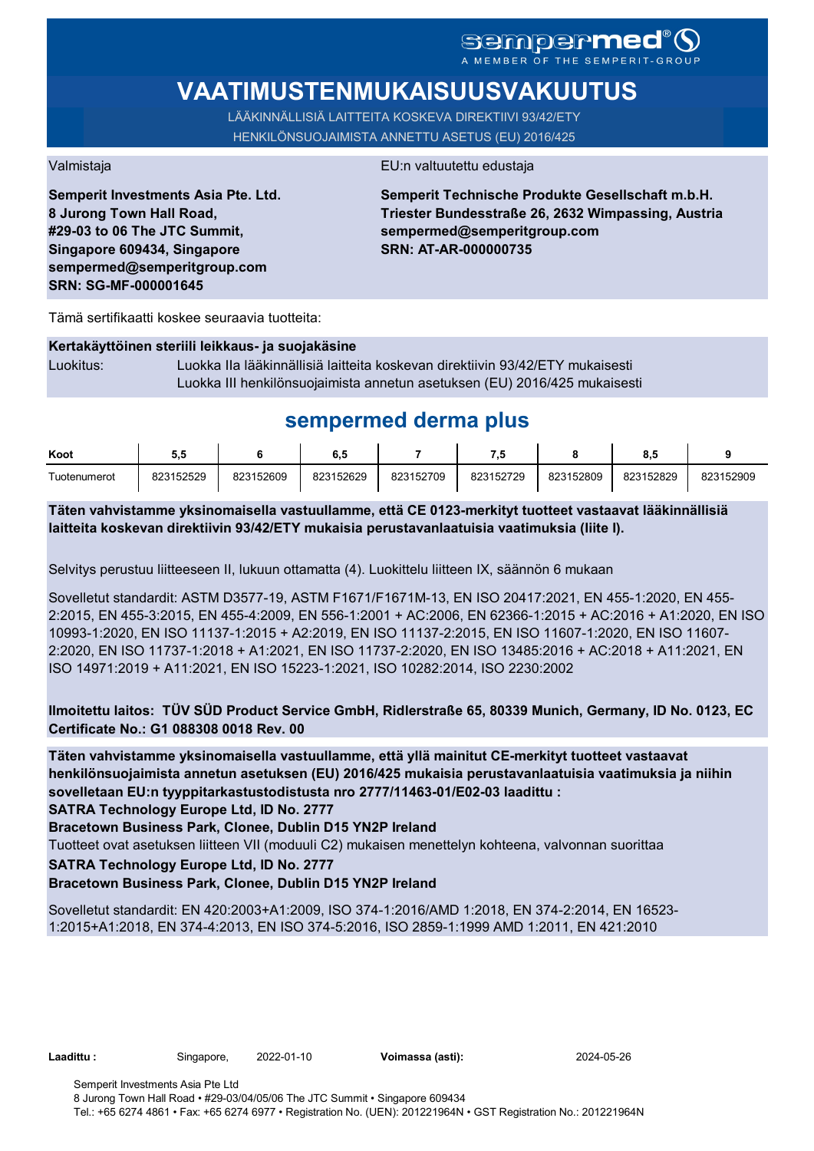# SCMDOCPMCO

# **VAATIMUSTENMUKAISUUSVAKUUTUS**

LÄÄKINNÄLLISIÄ LAITTEITA KOSKEVA DIREKTIIVI 93/42/ETY HENKILÖNSUOJAIMISTA ANNETTU ASETUS (EU) 2016/425

**Semperit Investments Asia Pte. Ltd. 8 Jurong Town Hall Road, #29-03 to 06 The JTC Summit, Singapore 609434, Singapore sempermed@semperitgroup.com SRN: SG-MF-000001645**

#### Valmistaja EU:n valtuutettu edustaja

**Semperit Technische Produkte Gesellschaft m.b.H. Triester Bundesstraße 26, 2632 Wimpassing, Austria sempermed@semperitgroup.com SRN: AT-AR-000000735**

Tämä sertifikaatti koskee seuraavia tuotteita:

#### **Kertakäyttöinen steriili leikkaus- ja suojakäsine**

Luokitus: Luokka IIa lääkinnällisiä laitteita koskevan direktiivin 93/42/ETY mukaisesti Luokka III henkilönsuojaimista annetun asetuksen (EU) 2016/425 mukaisesti

## **sempermed derma plus**

| Koot         | J.v       |           | e<br>ο    |           | - 7       |           | v.v       |           |
|--------------|-----------|-----------|-----------|-----------|-----------|-----------|-----------|-----------|
| Tuotenumerot | 823152529 | 823152609 | 823152629 | 823152709 | 823152729 | 823152809 | 823152829 | 823152909 |

**Täten vahvistamme yksinomaisella vastuullamme, että CE 0123-merkityt tuotteet vastaavat lääkinnällisiä laitteita koskevan direktiivin 93/42/ETY mukaisia perustavanlaatuisia vaatimuksia (liite I).**

Selvitys perustuu liitteeseen II, lukuun ottamatta (4). Luokittelu liitteen IX, säännön 6 mukaan

Sovelletut standardit: ASTM D3577-19, ASTM F1671/F1671M-13, EN ISO 20417:2021, EN 455-1:2020, EN 455- 2:2015, EN 455-3:2015, EN 455-4:2009, EN 556-1:2001 + AC:2006, EN 62366-1:2015 + AC:2016 + A1:2020, EN ISO 10993-1:2020, EN ISO 11137-1:2015 + A2:2019, EN ISO 11137-2:2015, EN ISO 11607-1:2020, EN ISO 11607- 2:2020, EN ISO 11737-1:2018 + A1:2021, EN ISO 11737-2:2020, EN ISO 13485:2016 + AC:2018 + A11:2021, EN ISO 14971:2019 + A11:2021, EN ISO 15223-1:2021, ISO 10282:2014, ISO 2230:2002

### **Ilmoitettu laitos: TÜV SÜD Product Service GmbH, Ridlerstraße 65, 80339 Munich, Germany, ID No. 0123, EC Certificate No.: G1 088308 0018 Rev. 00**

**Täten vahvistamme yksinomaisella vastuullamme, että yllä mainitut CE-merkityt tuotteet vastaavat henkilönsuojaimista annetun asetuksen (EU) 2016/425 mukaisia perustavanlaatuisia vaatimuksia ja niihin sovelletaan EU:n tyyppitarkastustodistusta nro 2777/11463-01/E02-03 laadittu :**

**SATRA Technology Europe Ltd, ID No. 2777**

**Bracetown Business Park, Clonee, Dublin D15 YN2P Ireland**

Tuotteet ovat asetuksen liitteen VII (moduuli C2) mukaisen menettelyn kohteena, valvonnan suorittaa

**SATRA Technology Europe Ltd, ID No. 2777**

#### **Bracetown Business Park, Clonee, Dublin D15 YN2P Ireland**

Sovelletut standardit: EN 420:2003+A1:2009, ISO 374-1:2016/AMD 1:2018, EN 374-2:2014, EN 16523- 1:2015+A1:2018, EN 374-4:2013, EN ISO 374-5:2016, ISO 2859-1:1999 AMD 1:2011, EN 421:2010

**Laadittu :** Singapore, 2022-01-10 **Voimassa (asti):** 2024-05-26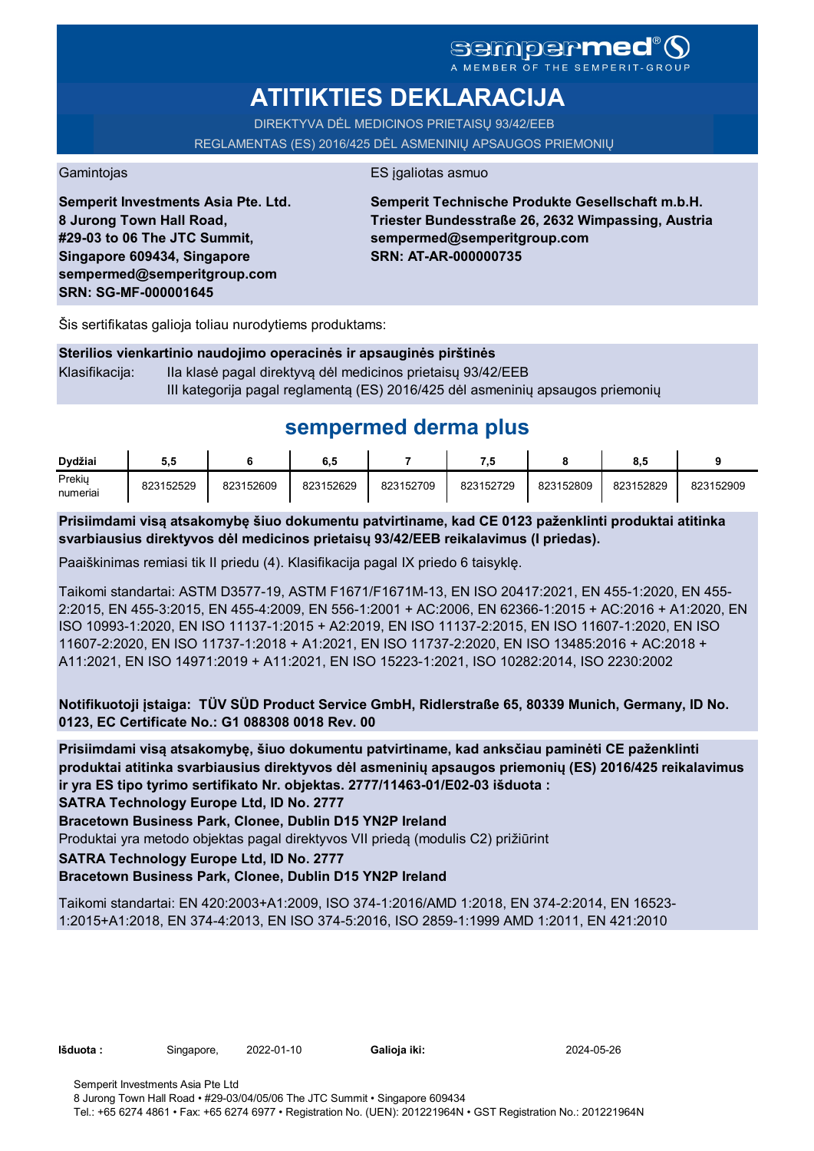# **ATITIKTIES DEKLARACIJA**

DIREKTYVA DĖL MEDICINOS PRIETAISŲ 93/42/EEB REGLAMENTAS (ES) 2016/425 DĖL ASMENINIŲ APSAUGOS PRIEMONIŲ

Gamintojas **ES** įgaliotas asmuo

**Semperit Investments Asia Pte. Ltd. 8 Jurong Town Hall Road, #29-03 to 06 The JTC Summit, Singapore 609434, Singapore sempermed@semperitgroup.com SRN: SG-MF-000001645**

**Semperit Technische Produkte Gesellschaft m.b.H. Triester Bundesstraße 26, 2632 Wimpassing, Austria sempermed@semperitgroup.com SRN: AT-AR-000000735**

Šis sertifikatas galioja toliau nurodytiems produktams:

**Sterilios vienkartinio naudojimo operacinės ir apsauginės pirštinės** Klasifikacija: Ila klasė pagal direktyva dėl medicinos prietaisų 93/42/EEB III kategorija pagal reglamentą (ES) 2016/425 dėl asmeninių apsaugos priemonių

# **sempermed derma plus**

| Dvdžiai            | 5.5       |           | 6.5       |           | 7.5       |           | o<br>o.a  |           |
|--------------------|-----------|-----------|-----------|-----------|-----------|-----------|-----------|-----------|
| Prekiy<br>numeriai | 823152529 | 823152609 | 823152629 | 823152709 | 823152729 | 823152809 | 823152829 | 823152909 |

**Prisiimdami visą atsakomybę šiuo dokumentu patvirtiname, kad CE 0123 paženklinti produktai atitinka svarbiausius direktyvos dėl medicinos prietaisų 93/42/EEB reikalavimus (I priedas).**

Paaiškinimas remiasi tik II priedu (4). Klasifikacija pagal IX priedo 6 taisyklę.

Taikomi standartai: ASTM D3577-19, ASTM F1671/F1671M-13, EN ISO 20417:2021, EN 455-1:2020, EN 455- 2:2015, EN 455-3:2015, EN 455-4:2009, EN 556-1:2001 + AC:2006, EN 62366-1:2015 + AC:2016 + A1:2020, EN ISO 10993-1:2020, EN ISO 11137-1:2015 + A2:2019, EN ISO 11137-2:2015, EN ISO 11607-1:2020, EN ISO 11607-2:2020, EN ISO 11737-1:2018 + A1:2021, EN ISO 11737-2:2020, EN ISO 13485:2016 + AC:2018 + A11:2021, EN ISO 14971:2019 + A11:2021, EN ISO 15223-1:2021, ISO 10282:2014, ISO 2230:2002

**Notifikuotoji įstaiga: TÜV SÜD Product Service GmbH, Ridlerstraße 65, 80339 Munich, Germany, ID No. 0123, EC Certificate No.: G1 088308 0018 Rev. 00** 

**Prisiimdami visą atsakomybę, šiuo dokumentu patvirtiname, kad anksčiau paminėti CE paženklinti produktai atitinka svarbiausius direktyvos dėl asmeninių apsaugos priemonių (ES) 2016/425 reikalavimus ir yra ES tipo tyrimo sertifikato Nr. objektas. 2777/11463-01/E02-03 išduota :**

**SATRA Technology Europe Ltd, ID No. 2777**

**Bracetown Business Park, Clonee, Dublin D15 YN2P Ireland**

Produktai yra metodo objektas pagal direktyvos VII priedą (modulis C2) prižiūrint

**SATRA Technology Europe Ltd, ID No. 2777**

#### **Bracetown Business Park, Clonee, Dublin D15 YN2P Ireland**

Taikomi standartai: EN 420:2003+A1:2009, ISO 374-1:2016/AMD 1:2018, EN 374-2:2014, EN 16523- 1:2015+A1:2018, EN 374-4:2013, EN ISO 374-5:2016, ISO 2859-1:1999 AMD 1:2011, EN 421:2010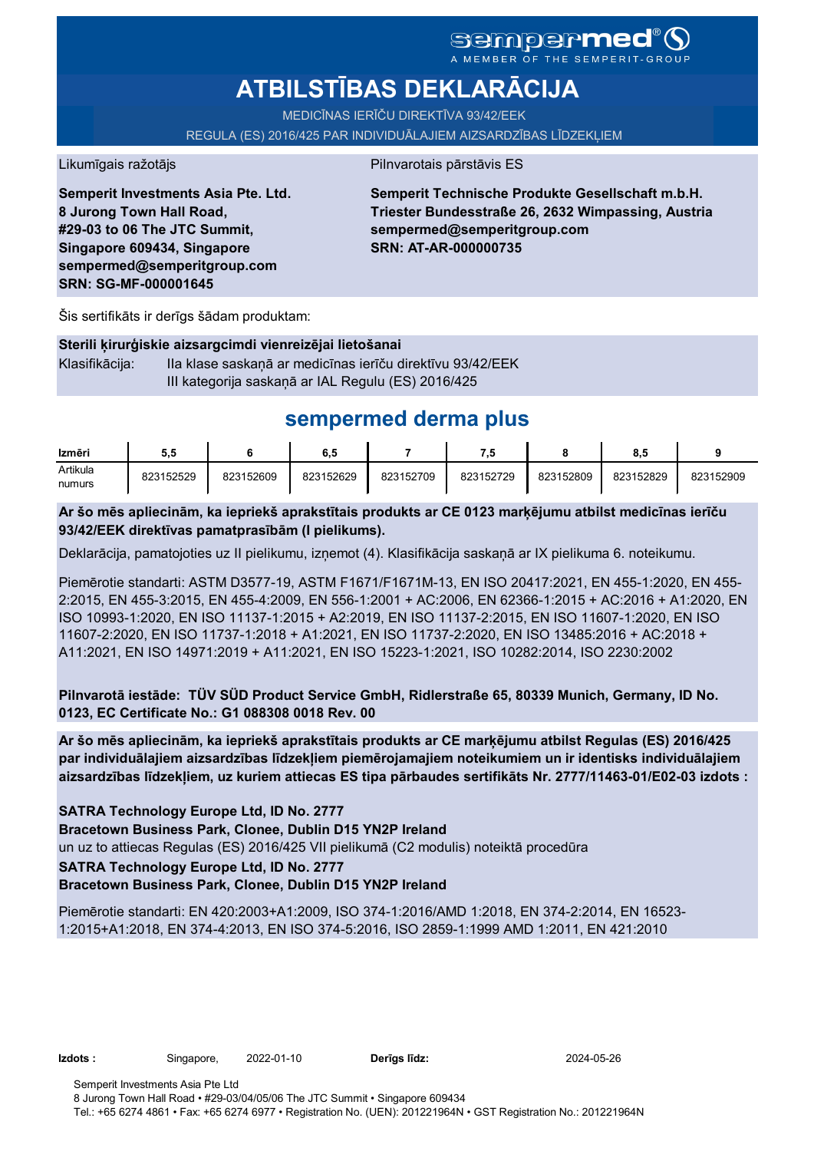# **ATBILSTĪBAS DEKLARĀCIJA**

MEDICĪNAS IERĪČU DIREKTĪVA 93/42/EEK

REGULA (ES) 2016/425 PAR INDIVIDUĀLAJIEM AIZSARDZĪBAS LĪDZEKĻIEM

Likumīgais ražotājs **Pilnvarotais pārstāvis ES** 

**Semperit Investments Asia Pte. Ltd. 8 Jurong Town Hall Road, #29-03 to 06 The JTC Summit, Singapore 609434, Singapore sempermed@semperitgroup.com SRN: SG-MF-000001645**

**Semperit Technische Produkte Gesellschaft m.b.H. Triester Bundesstraße 26, 2632 Wimpassing, Austria sempermed@semperitgroup.com SRN: AT-AR-000000735**

Šis sertifikāts ir derīgs šādam produktam:

#### **Sterili ķirurģiskie aizsargcimdi vienreizējai lietošanai**

Klasifikācija: IIa klase saskaņā ar medicīnas ierīču direktīvu 93/42/EEK III kategorija saskaņā ar IAL Regulu (ES) 2016/425

## **sempermed derma plus**

| Izmēri   | 5.5       |           | 6.5       |           |           |           | 0.        |           |
|----------|-----------|-----------|-----------|-----------|-----------|-----------|-----------|-----------|
| Artikula | 823152529 | 823152609 | 823152629 | 823152709 | 823152729 | 823152809 | 823152829 | 823152909 |
| numurs   |           |           |           |           |           |           |           |           |

#### **Ar šo mēs apliecinām, ka iepriekš aprakstītais produkts ar CE 0123 marķējumu atbilst medicīnas ierīču 93/42/EEK direktīvas pamatprasībām (I pielikums).**

Deklarācija, pamatojoties uz II pielikumu, izņemot (4). Klasifikācija saskaņā ar IX pielikuma 6. noteikumu.

Piemērotie standarti: ASTM D3577-19, ASTM F1671/F1671M-13, EN ISO 20417:2021, EN 455-1:2020, EN 455- 2:2015, EN 455-3:2015, EN 455-4:2009, EN 556-1:2001 + AC:2006, EN 62366-1:2015 + AC:2016 + A1:2020, EN ISO 10993-1:2020, EN ISO 11137-1:2015 + A2:2019, EN ISO 11137-2:2015, EN ISO 11607-1:2020, EN ISO 11607-2:2020, EN ISO 11737-1:2018 + A1:2021, EN ISO 11737-2:2020, EN ISO 13485:2016 + AC:2018 + A11:2021, EN ISO 14971:2019 + A11:2021, EN ISO 15223-1:2021, ISO 10282:2014, ISO 2230:2002

**Pilnvarotā iestāde: TÜV SÜD Product Service GmbH, Ridlerstraße 65, 80339 Munich, Germany, ID No. 0123, EC Certificate No.: G1 088308 0018 Rev. 00** 

**Ar šo mēs apliecinām, ka iepriekš aprakstītais produkts ar CE marķējumu atbilst Regulas (ES) 2016/425 par individuālajiem aizsardzības līdzekļiem piemērojamajiem noteikumiem un ir identisks individuālajiem aizsardzības līdzekļiem, uz kuriem attiecas ES tipa pārbaudes sertifikāts Nr. 2777/11463-01/E02-03 izdots :**

**SATRA Technology Europe Ltd, ID No. 2777**

**Bracetown Business Park, Clonee, Dublin D15 YN2P Ireland**

un uz to attiecas Regulas (ES) 2016/425 VII pielikumā (C2 modulis) noteiktā procedūra

#### **SATRA Technology Europe Ltd, ID No. 2777**

#### **Bracetown Business Park, Clonee, Dublin D15 YN2P Ireland**

Piemērotie standarti: EN 420:2003+A1:2009, ISO 374-1:2016/AMD 1:2018, EN 374-2:2014, EN 16523- 1:2015+A1:2018, EN 374-4:2013, EN ISO 374-5:2016, ISO 2859-1:1999 AMD 1:2011, EN 421:2010

**Izdots :** Singapore, **Derīgs līdz:** 2022-01-10 2024-05-26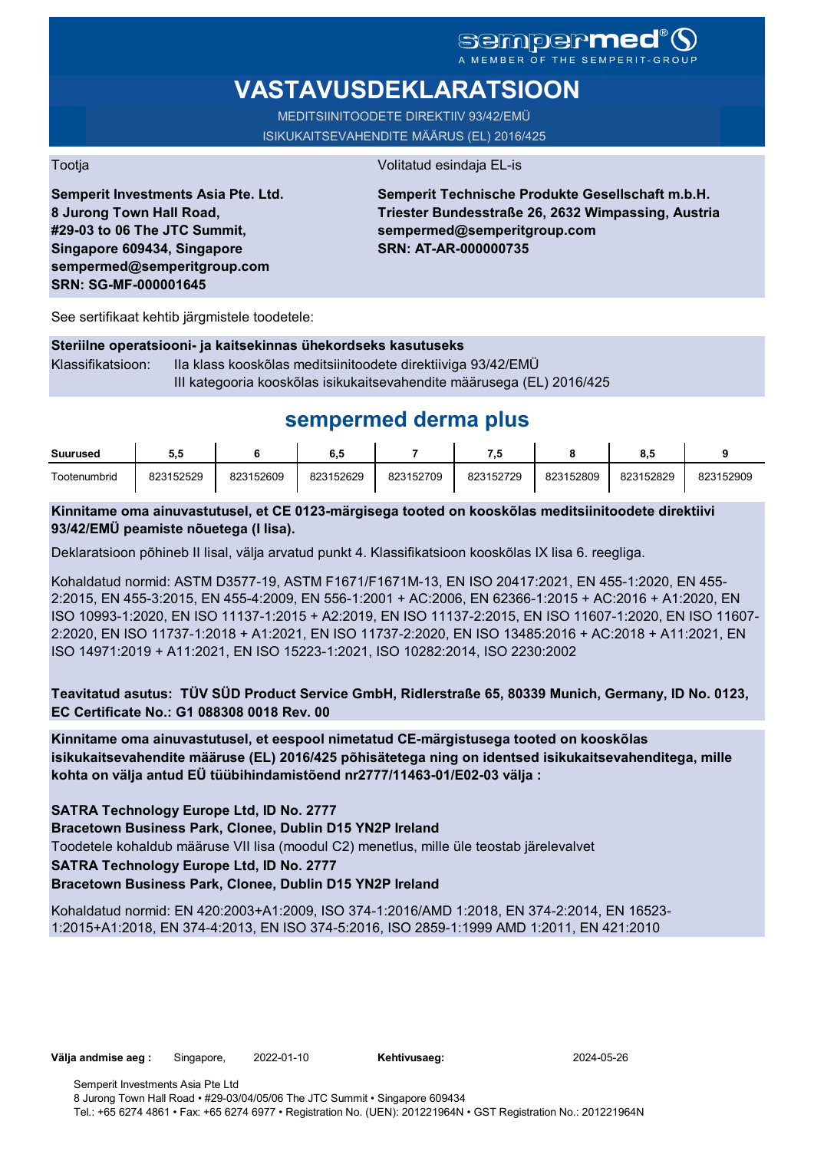# **VASTAVUSDEKLARATSIOON**

MEDITSIINITOODETE DIREKTIIV 93/42/EMÜ ISIKUKAITSEVAHENDITE MÄÄRUS (EL) 2016/425

Tootja Volitatud esindaja EL-is

**Semperit Investments Asia Pte. Ltd. 8 Jurong Town Hall Road, #29-03 to 06 The JTC Summit, Singapore 609434, Singapore sempermed@semperitgroup.com SRN: SG-MF-000001645**

### **Semperit Technische Produkte Gesellschaft m.b.H. Triester Bundesstraße 26, 2632 Wimpassing, Austria sempermed@semperitgroup.com SRN: AT-AR-000000735**

See sertifikaat kehtib järgmistele toodetele:

#### **Steriilne operatsiooni- ja kaitsekinnas ühekordseks kasutuseks**

Klassifikatsioon: IIa klass kooskõlas meditsiinitoodete direktiiviga 93/42/EMÜ III kategooria kooskõlas isikukaitsevahendite määrusega (EL) 2016/425

# **sempermed derma plus**

| <b>Suurused</b> | ວ.ະ       |           | 6,5       |           | .         |           | o.a       |           |
|-----------------|-----------|-----------|-----------|-----------|-----------|-----------|-----------|-----------|
| Tootenumbrid    | 823152529 | 823152609 | 823152629 | 823152709 | 823152729 | 823152809 | 823152829 | 823152909 |

### **Kinnitame oma ainuvastutusel, et CE 0123-märgisega tooted on kooskõlas meditsiinitoodete direktiivi 93/42/EMÜ peamiste nõuetega (I lisa).**

Deklaratsioon põhineb II lisal, välja arvatud punkt 4. Klassifikatsioon kooskõlas IX lisa 6. reegliga.

Kohaldatud normid: ASTM D3577-19, ASTM F1671/F1671M-13, EN ISO 20417:2021, EN 455-1:2020, EN 455- 2:2015, EN 455-3:2015, EN 455-4:2009, EN 556-1:2001 + AC:2006, EN 62366-1:2015 + AC:2016 + A1:2020, EN ISO 10993-1:2020, EN ISO 11137-1:2015 + A2:2019, EN ISO 11137-2:2015, EN ISO 11607-1:2020, EN ISO 11607- 2:2020, EN ISO 11737-1:2018 + A1:2021, EN ISO 11737-2:2020, EN ISO 13485:2016 + AC:2018 + A11:2021, EN ISO 14971:2019 + A11:2021, EN ISO 15223-1:2021, ISO 10282:2014, ISO 2230:2002

**Teavitatud asutus: TÜV SÜD Product Service GmbH, Ridlerstraße 65, 80339 Munich, Germany, ID No. 0123, EC Certificate No.: G1 088308 0018 Rev. 00** 

**Kinnitame oma ainuvastutusel, et eespool nimetatud CE-märgistusega tooted on kooskõlas isikukaitsevahendite määruse (EL) 2016/425 põhisätetega ning on identsed isikukaitsevahenditega, mille kohta on välja antud EÜ tüübihindamistõend nr2777/11463-01/E02-03 välja :**

**SATRA Technology Europe Ltd, ID No. 2777**

**Bracetown Business Park, Clonee, Dublin D15 YN2P Ireland**

Toodetele kohaldub määruse VII lisa (moodul C2) menetlus, mille üle teostab järelevalvet

**SATRA Technology Europe Ltd, ID No. 2777**

#### **Bracetown Business Park, Clonee, Dublin D15 YN2P Ireland**

Kohaldatud normid: EN 420:2003+A1:2009, ISO 374-1:2016/AMD 1:2018, EN 374-2:2014, EN 16523- 1:2015+A1:2018, EN 374-4:2013, EN ISO 374-5:2016, ISO 2859-1:1999 AMD 1:2011, EN 421:2010

Kehtivusaeg: 2024-05-26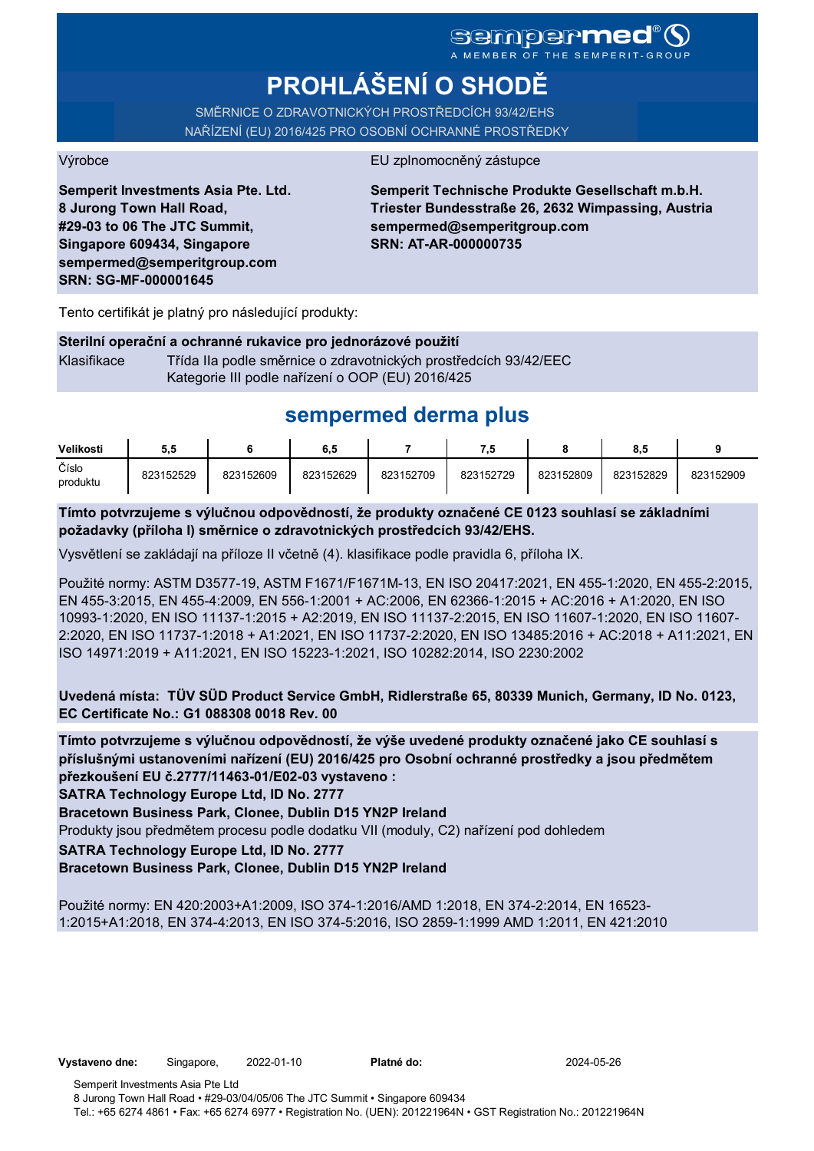# **PROHLÁŠENÍ O SHODĚ**

SMĚRNICE O ZDRAVOTNICKÝCH PROSTŘEDCÍCH 93/42/EHS NAŘÍZENÍ (EU) 2016/425 PRO OSOBNÍ OCHRANNÉ PROSTŘEDKY

#### Výrobce EU zplnomocněný zástupce

**Semperit Investments Asia Pte. Ltd. 8 Jurong Town Hall Road, #29-03 to 06 The JTC Summit, Singapore 609434, Singapore sempermed@semperitgroup.com SRN: SG-MF-000001645**

**Semperit Technische Produkte Gesellschaft m.b.H. Triester Bundesstraße 26, 2632 Wimpassing, Austria sempermed@semperitgroup.com SRN: AT-AR-000000735**

Tento certifikát je platný pro následující produkty:

#### **Sterilní operační a ochranné rukavice pro jednorázové použití**

Klasifikace Třída IIa podle směrnice o zdravotnických prostředcích 93/42/EEC Kategorie III podle nařízení o OOP (EU) 2016/425

# **sempermed derma plus**

| Velikosti         | 5.5       |           | 6,5       |           | 7.5       |           | 8.5       |           |
|-------------------|-----------|-----------|-----------|-----------|-----------|-----------|-----------|-----------|
| Číslo<br>produktu | 823152529 | 823152609 | 823152629 | 823152709 | 823152729 | 823152809 | 823152829 | 823152909 |

**Tímto potvrzujeme s výlučnou odpovědností, že produkty označené CE 0123 souhlasí se základními požadavky (příloha I) směrnice o zdravotnických prostředcích 93/42/EHS.**

Vysvětlení se zakládají na příloze II včetně (4). klasifikace podle pravidla 6, příloha IX.

Použité normy: ASTM D3577-19, ASTM F1671/F1671M-13, EN ISO 20417:2021, EN 455-1:2020, EN 455-2:2015, EN 455-3:2015, EN 455-4:2009, EN 556-1:2001 + AC:2006, EN 62366-1:2015 + AC:2016 + A1:2020, EN ISO 10993-1:2020, EN ISO 11137-1:2015 + A2:2019, EN ISO 11137-2:2015, EN ISO 11607-1:2020, EN ISO 11607- 2:2020, EN ISO 11737-1:2018 + A1:2021, EN ISO 11737-2:2020, EN ISO 13485:2016 + AC:2018 + A11:2021, EN ISO 14971:2019 + A11:2021, EN ISO 15223-1:2021, ISO 10282:2014, ISO 2230:2002

**Uvedená místa: TÜV SÜD Product Service GmbH, Ridlerstraße 65, 80339 Munich, Germany, ID No. 0123, EC Certificate No.: G1 088308 0018 Rev. 00** 

**Tímto potvrzujeme s výlučnou odpovědností, že výše uvedené produkty označené jako CE souhlasí s příslušnými ustanoveními nařízení (EU) 2016/425 pro Osobní ochranné prostředky a jsou předmětem přezkoušení EU č.2777/11463-01/E02-03 vystaveno :**

**SATRA Technology Europe Ltd, ID No. 2777**

**Bracetown Business Park, Clonee, Dublin D15 YN2P Ireland**

Produkty jsou předmětem procesu podle dodatku VII (moduly, C2) nařízení pod dohledem

**SATRA Technology Europe Ltd, ID No. 2777**

**Bracetown Business Park, Clonee, Dublin D15 YN2P Ireland**

Použité normy: EN 420:2003+A1:2009, ISO 374-1:2016/AMD 1:2018, EN 374-2:2014, EN 16523- 1:2015+A1:2018, EN 374-4:2013, EN ISO 374-5:2016, ISO 2859-1:1999 AMD 1:2011, EN 421:2010

2024-05-26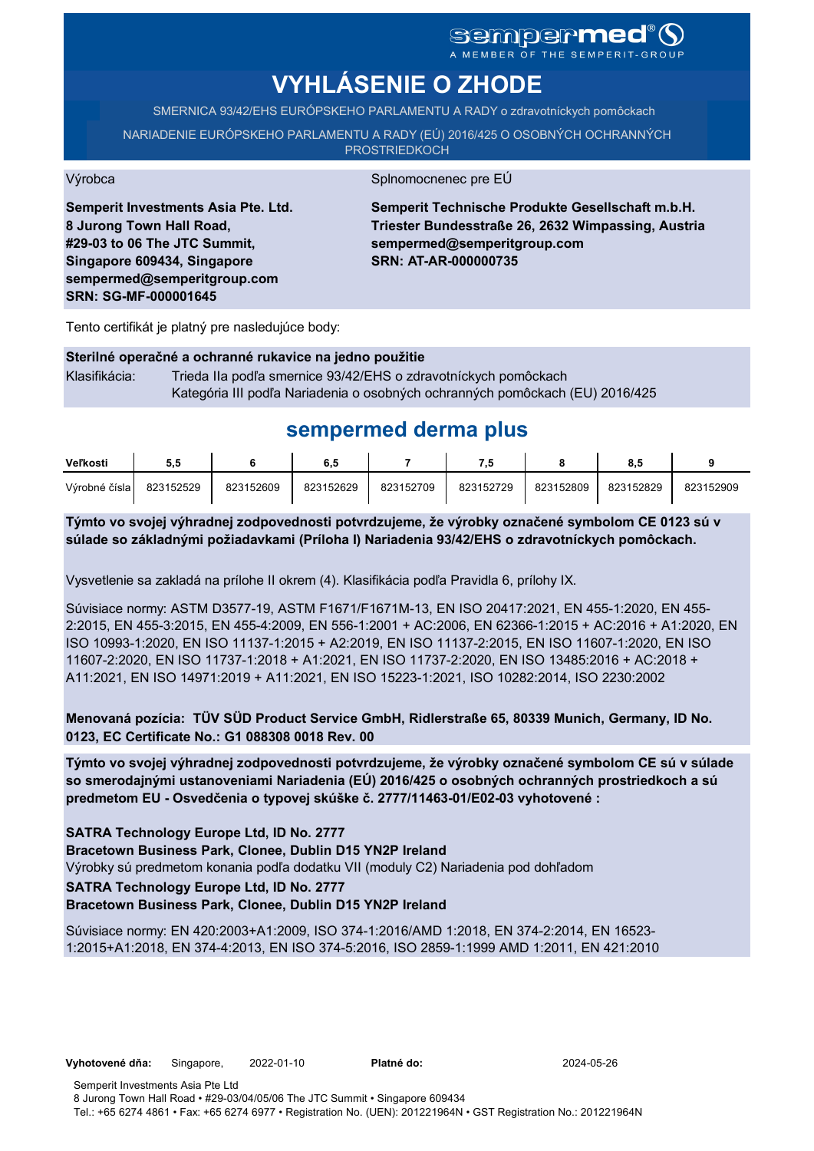# sempermed<sup>®</sup> Q

A MEMBER OF THE SEMPERIT-GROUP

# **VYHLÁSENIE O ZHODE**

SMERNICA 93/42/EHS EURÓPSKEHO PARLAMENTU A RADY o zdravotníckych pomôckach

NARIADENIE EURÓPSKEHO PARLAMENTU A RADY (EÚ) 2016/425 O OSOBNÝCH OCHRANNÝCH **PROSTRIEDKOCH** 

Výrobca Splnomocnenec pre EÚ

**Semperit Investments Asia Pte. Ltd. 8 Jurong Town Hall Road, #29-03 to 06 The JTC Summit, Singapore 609434, Singapore sempermed@semperitgroup.com SRN: SG-MF-000001645**

**Semperit Technische Produkte Gesellschaft m.b.H. Triester Bundesstraße 26, 2632 Wimpassing, Austria sempermed@semperitgroup.com SRN: AT-AR-000000735**

Tento certifikát je platný pre nasledujúce body:

#### **Sterilné operačné a ochranné rukavice na jedno použitie**

Klasifikácia: Trieda IIa podľa smernice 93/42/EHS o zdravotníckych pomôckach Kategória III podľa Nariadenia o osobných ochranných pomôckach (EU) 2016/425

## **sempermed derma plus**

| Veľkosti        | ວ.ວ       |           | 6.5       |           |           |           |           |           |
|-----------------|-----------|-----------|-----------|-----------|-----------|-----------|-----------|-----------|
| Výrobné čísla I | 823152529 | 823152609 | 823152629 | 823152709 | 823152729 | 823152809 | 823152829 | 823152909 |

**Týmto vo svojej výhradnej zodpovednosti potvrdzujeme, že výrobky označené symbolom CE 0123 sú v súlade so základnými požiadavkami (Príloha I) Nariadenia 93/42/EHS o zdravotníckych pomôckach.**

Vysvetlenie sa zakladá na prílohe II okrem (4). Klasifikácia podľa Pravidla 6, prílohy IX.

Súvisiace normy: ASTM D3577-19, ASTM F1671/F1671M-13, EN ISO 20417:2021, EN 455-1:2020, EN 455- 2:2015, EN 455-3:2015, EN 455-4:2009, EN 556-1:2001 + AC:2006, EN 62366-1:2015 + AC:2016 + A1:2020, EN ISO 10993-1:2020, EN ISO 11137-1:2015 + A2:2019, EN ISO 11137-2:2015, EN ISO 11607-1:2020, EN ISO 11607-2:2020, EN ISO 11737-1:2018 + A1:2021, EN ISO 11737-2:2020, EN ISO 13485:2016 + AC:2018 + A11:2021, EN ISO 14971:2019 + A11:2021, EN ISO 15223-1:2021, ISO 10282:2014, ISO 2230:2002

**Menovaná pozícia: TÜV SÜD Product Service GmbH, Ridlerstraße 65, 80339 Munich, Germany, ID No. 0123, EC Certificate No.: G1 088308 0018 Rev. 00** 

**Týmto vo svojej výhradnej zodpovednosti potvrdzujeme, že výrobky označené symbolom CE sú v súlade so smerodajnými ustanoveniami Nariadenia (EÚ) 2016/425 o osobných ochranných prostriedkoch a sú predmetom EU - Osvedčenia o typovej skúške č. 2777/11463-01/E02-03 vyhotovené :**

**SATRA Technology Europe Ltd, ID No. 2777**

**Bracetown Business Park, Clonee, Dublin D15 YN2P Ireland**

Výrobky sú predmetom konania podľa dodatku VII (moduly C2) Nariadenia pod dohľadom

**SATRA Technology Europe Ltd, ID No. 2777**

#### **Bracetown Business Park, Clonee, Dublin D15 YN2P Ireland**

Súvisiace normy: EN 420:2003+A1:2009, ISO 374-1:2016/AMD 1:2018, EN 374-2:2014, EN 16523- 1:2015+A1:2018, EN 374-4:2013, EN ISO 374-5:2016, ISO 2859-1:1999 AMD 1:2011, EN 421:2010

2024-05-26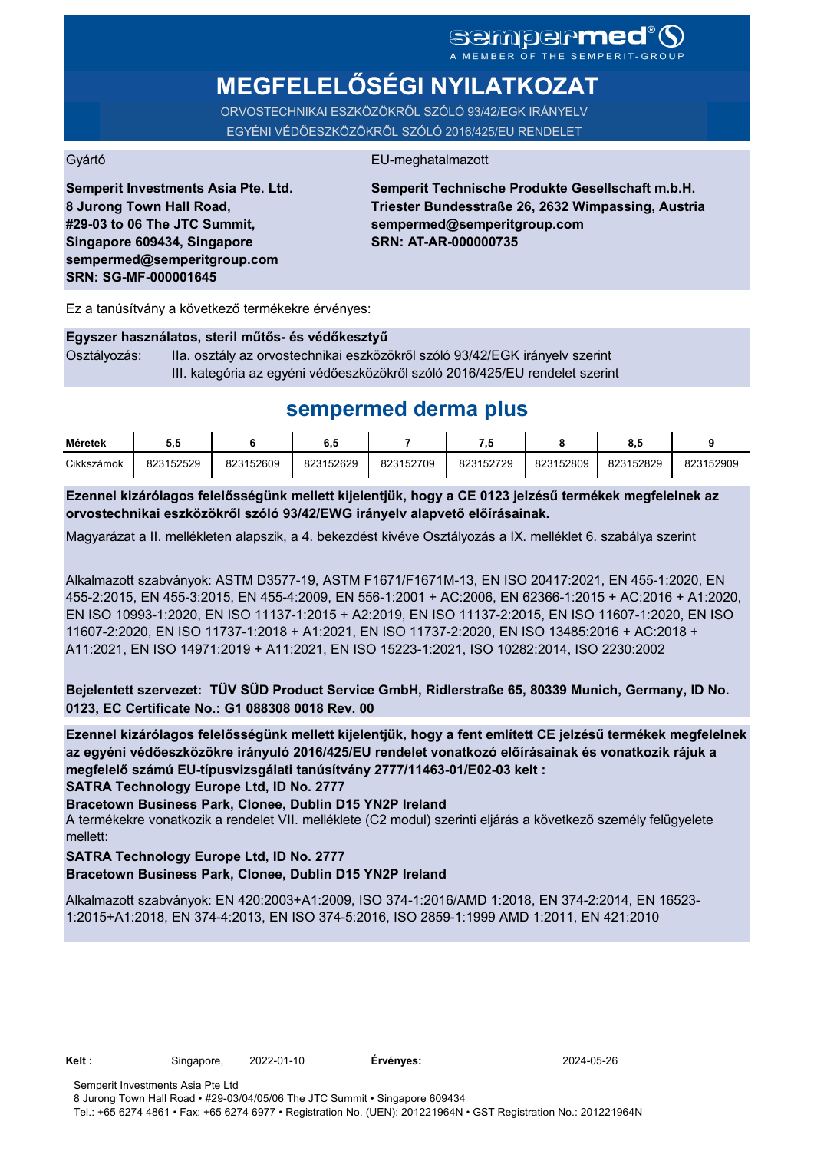# **MEGFELELŐSÉGI NYILATKOZAT**

ORVOSTECHNIKAI ESZKÖZÖKRŐL SZÓLÓ 93/42/EGK IRÁNYELV EGYÉNI VÉDŐESZKÖZÖKRŐL SZÓLÓ 2016/425/EU RENDELET

#### Gyártó EU-meghatalmazott

**Semperit Investments Asia Pte. Ltd. 8 Jurong Town Hall Road, #29-03 to 06 The JTC Summit, Singapore 609434, Singapore sempermed@semperitgroup.com SRN: SG-MF-000001645**

**Semperit Technische Produkte Gesellschaft m.b.H. Triester Bundesstraße 26, 2632 Wimpassing, Austria sempermed@semperitgroup.com SRN: AT-AR-000000735**

Ez a tanúsítvány a következő termékekre érvényes:

#### **Egyszer használatos, steril műtős- és védőkesztyű**

Osztályozás: IIa. osztály az orvostechnikai eszközökről szóló 93/42/EGK irányelv szerint III. kategória az egyéni védőeszközökről szóló 2016/425/EU rendelet szerint

## **sempermed derma plus**

| Méretek    | ນ.ບ       |           |           |           |           |           | - 0<br>o.t |           |
|------------|-----------|-----------|-----------|-----------|-----------|-----------|------------|-----------|
| Cikkszámok | 823152529 | 823152609 | 823152629 | 823152709 | 823152729 | 823152809 | 823152829  | 823152909 |

**Ezennel kizárólagos felelősségünk mellett kijelentjük, hogy a CE 0123 jelzésű termékek megfelelnek az orvostechnikai eszközökről szóló 93/42/EWG irányelv alapvető előírásainak.**

Magyarázat a II. mellékleten alapszik, a 4. bekezdést kivéve Osztályozás a IX. melléklet 6. szabálya szerint

Alkalmazott szabványok: ASTM D3577-19, ASTM F1671/F1671M-13, EN ISO 20417:2021, EN 455-1:2020, EN 455-2:2015, EN 455-3:2015, EN 455-4:2009, EN 556-1:2001 + AC:2006, EN 62366-1:2015 + AC:2016 + A1:2020, EN ISO 10993-1:2020, EN ISO 11137-1:2015 + A2:2019, EN ISO 11137-2:2015, EN ISO 11607-1:2020, EN ISO 11607-2:2020, EN ISO 11737-1:2018 + A1:2021, EN ISO 11737-2:2020, EN ISO 13485:2016 + AC:2018 + A11:2021, EN ISO 14971:2019 + A11:2021, EN ISO 15223-1:2021, ISO 10282:2014, ISO 2230:2002

**Bejelentett szervezet: TÜV SÜD Product Service GmbH, Ridlerstraße 65, 80339 Munich, Germany, ID No. 0123, EC Certificate No.: G1 088308 0018 Rev. 00** 

**SATRA Technology Europe Ltd, ID No. 2777 Ezennel kizárólagos felelősségünk mellett kijelentjük, hogy a fent említett CE jelzésű termékek megfelelnek az egyéni védőeszközökre irányuló 2016/425/EU rendelet vonatkozó előírásainak és vonatkozik rájuk a megfelelő számú EU-típusvizsgálati tanúsítvány 2777/11463-01/E02-03 kelt :**

**Bracetown Business Park, Clonee, Dublin D15 YN2P Ireland**

A termékekre vonatkozik a rendelet VII. melléklete (C2 modul) szerinti eljárás a következő személy felügyelete mellett:

#### **SATRA Technology Europe Ltd, ID No. 2777**

#### **Bracetown Business Park, Clonee, Dublin D15 YN2P Ireland**

Alkalmazott szabványok: EN 420:2003+A1:2009, ISO 374-1:2016/AMD 1:2018, EN 374-2:2014, EN 16523- 1:2015+A1:2018, EN 374-4:2013, EN ISO 374-5:2016, ISO 2859-1:1999 AMD 1:2011, EN 421:2010

**Ervényes:** 2024-05-26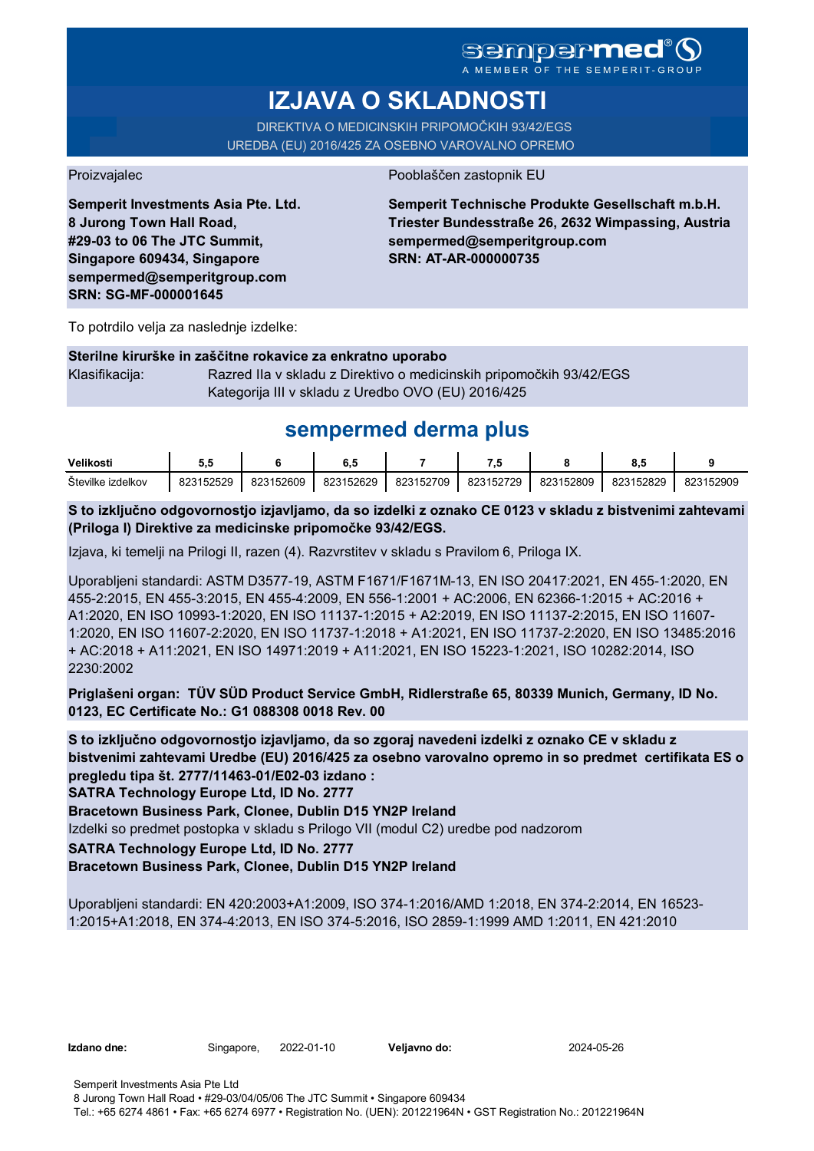A MEMBER OF THE SEMPERIT-GROUP

# **IZJAVA O SKLADNOSTI**

DIREKTIVA O MEDICINSKIH PRIPOMOČKIH 93/42/EGS UREDBA (EU) 2016/425 ZA OSEBNO VAROVALNO OPREMO

Proizvajalec Pooblaščen zastopnik EU

**Semperit Investments Asia Pte. Ltd. 8 Jurong Town Hall Road, #29-03 to 06 The JTC Summit, Singapore 609434, Singapore sempermed@semperitgroup.com SRN: SG-MF-000001645**

**Semperit Technische Produkte Gesellschaft m.b.H. Triester Bundesstraße 26, 2632 Wimpassing, Austria sempermed@semperitgroup.com SRN: AT-AR-000000735**

To potrdilo velja za naslednje izdelke:

#### **Sterilne kirurške in zaščitne rokavice za enkratno uporabo**

Klasifikacija: Razred IIa v skladu z Direktivo o medicinskih pripomočkih 93/42/EGS Kategorija III v skladu z Uredbo OVO (EU) 2016/425

## **sempermed derma plus**

| Velikosti              | v.v       |           | v.v       |           |           |           |           |           |
|------------------------|-----------|-----------|-----------|-----------|-----------|-----------|-----------|-----------|
| Stevilke<br>. izdelkov | 823152529 | 823152609 | 823152629 | 823152709 | 823152729 | 823152809 | 823152829 | 823152909 |

**S to izključno odgovornostjo izjavljamo, da so izdelki z oznako CE 0123 v skladu z bistvenimi zahtevami (Priloga I) Direktive za medicinske pripomočke 93/42/EGS.**

Izjava, ki temelji na Prilogi II, razen (4). Razvrstitev v skladu s Pravilom 6, Priloga IX.

Uporabljeni standardi: ASTM D3577-19, ASTM F1671/F1671M-13, EN ISO 20417:2021, EN 455-1:2020, EN 455-2:2015, EN 455-3:2015, EN 455-4:2009, EN 556-1:2001 + AC:2006, EN 62366-1:2015 + AC:2016 + A1:2020, EN ISO 10993-1:2020, EN ISO 11137-1:2015 + A2:2019, EN ISO 11137-2:2015, EN ISO 11607- 1:2020, EN ISO 11607-2:2020, EN ISO 11737-1:2018 + A1:2021, EN ISO 11737-2:2020, EN ISO 13485:2016 + AC:2018 + A11:2021, EN ISO 14971:2019 + A11:2021, EN ISO 15223-1:2021, ISO 10282:2014, ISO 2230:2002

**Priglašeni organ: TÜV SÜD Product Service GmbH, Ridlerstraße 65, 80339 Munich, Germany, ID No. 0123, EC Certificate No.: G1 088308 0018 Rev. 00** 

**S to izključno odgovornostjo izjavljamo, da so zgoraj navedeni izdelki z oznako CE v skladu z bistvenimi zahtevami Uredbe (EU) 2016/425 za osebno varovalno opremo in so predmet certifikata ES o pregledu tipa št. 2777/11463-01/E02-03 izdano :**

**SATRA Technology Europe Ltd, ID No. 2777**

**Bracetown Business Park, Clonee, Dublin D15 YN2P Ireland**

Izdelki so predmet postopka v skladu s Prilogo VII (modul C2) uredbe pod nadzorom

### **SATRA Technology Europe Ltd, ID No. 2777**

#### **Bracetown Business Park, Clonee, Dublin D15 YN2P Ireland**

Uporabljeni standardi: EN 420:2003+A1:2009, ISO 374-1:2016/AMD 1:2018, EN 374-2:2014, EN 16523- 1:2015+A1:2018, EN 374-4:2013, EN ISO 374-5:2016, ISO 2859-1:1999 AMD 1:2011, EN 421:2010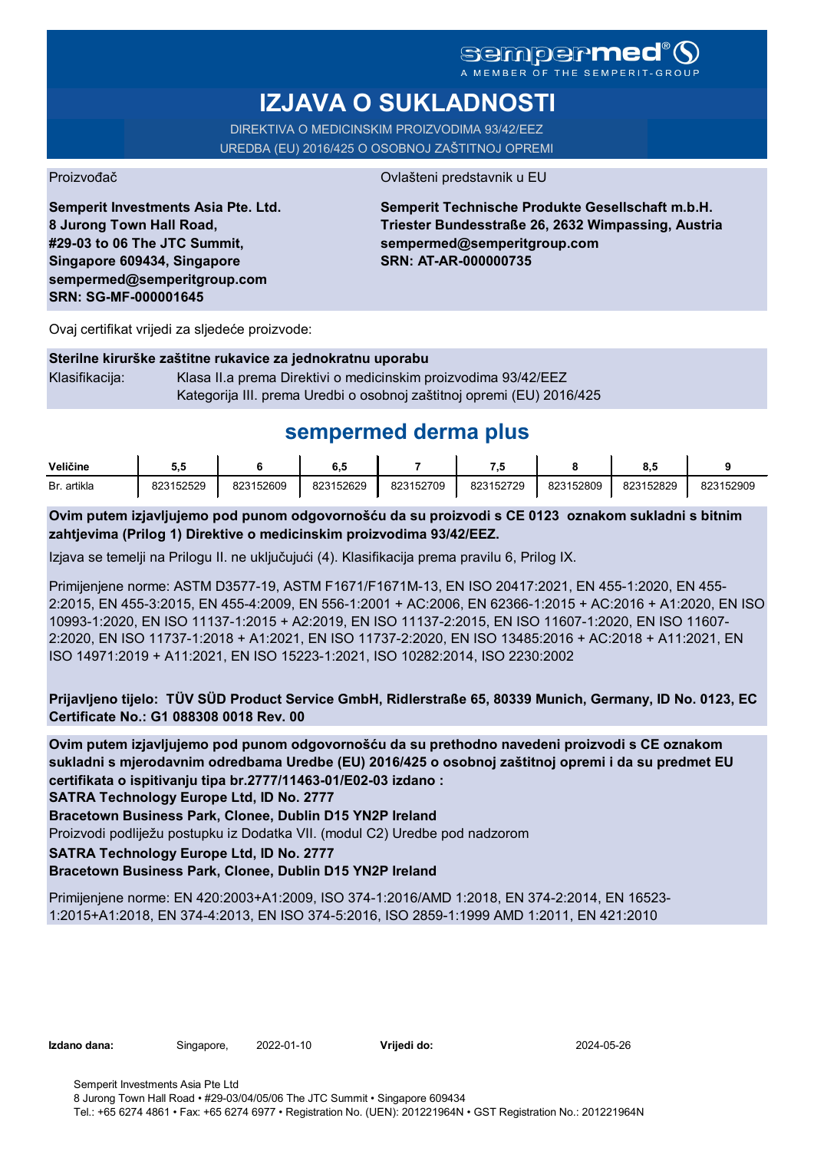## **sempermed**

A MEMBER OF THE

# **IZJAVA O SUKLADNOSTI**

DIREKTIVA O MEDICINSKIM PROIZVODIMA 93/42/EEZ UREDBA (EU) 2016/425 O OSOBNOJ ZAŠTITNOJ OPREMI

Proizvođač **Ovlašteni predstavnik u EU** 

**Semperit Investments Asia Pte. Ltd. 8 Jurong Town Hall Road, #29-03 to 06 The JTC Summit, Singapore 609434, Singapore sempermed@semperitgroup.com SRN: SG-MF-000001645**

**Semperit Technische Produkte Gesellschaft m.b.H. Triester Bundesstraße 26, 2632 Wimpassing, Austria sempermed@semperitgroup.com SRN: AT-AR-000000735**

Ovaj certifikat vrijedi za sljedeće proizvode:

#### **Sterilne kirurške zaštitne rukavice za jednokratnu uporabu**

Klasifikacija: Klasa II.a prema Direktivi o medicinskim proizvodima 93/42/EEZ Kategorija III. prema Uredbi o osobnoj zaštitnoj opremi (EU) 2016/425

## **sempermed derma plus**

| Veličine    | v.        |           | υ.,       |           | .         |           | υ.,       |           |
|-------------|-----------|-----------|-----------|-----------|-----------|-----------|-----------|-----------|
| Br. artikla | 823152529 | 823152609 | 823152629 | 823152709 | 823152729 | 823152809 | 823152829 | 823152909 |

**Ovim putem izjavljujemo pod punom odgovornošću da su proizvodi s CE 0123 oznakom sukladni s bitnim zahtjevima (Prilog 1) Direktive o medicinskim proizvodima 93/42/EEZ.**

Izjava se temelji na Prilogu II. ne uključujući (4). Klasifikacija prema pravilu 6, Prilog IX.

Primijenjene norme: ASTM D3577-19, ASTM F1671/F1671M-13, EN ISO 20417:2021, EN 455-1:2020, EN 455- 2:2015, EN 455-3:2015, EN 455-4:2009, EN 556-1:2001 + AC:2006, EN 62366-1:2015 + AC:2016 + A1:2020, EN ISO 10993-1:2020, EN ISO 11137-1:2015 + A2:2019, EN ISO 11137-2:2015, EN ISO 11607-1:2020, EN ISO 11607- 2:2020, EN ISO 11737-1:2018 + A1:2021, EN ISO 11737-2:2020, EN ISO 13485:2016 + AC:2018 + A11:2021, EN ISO 14971:2019 + A11:2021, EN ISO 15223-1:2021, ISO 10282:2014, ISO 2230:2002

**Prijavljeno tijelo: TÜV SÜD Product Service GmbH, Ridlerstraße 65, 80339 Munich, Germany, ID No. 0123, EC Certificate No.: G1 088308 0018 Rev. 00** 

**Ovim putem izjavljujemo pod punom odgovornošću da su prethodno navedeni proizvodi s CE oznakom sukladni s mjerodavnim odredbama Uredbe (EU) 2016/425 o osobnoj zaštitnoj opremi i da su predmet EU certifikata o ispitivanju tipa br.2777/11463-01/E02-03 izdano :**

**SATRA Technology Europe Ltd, ID No. 2777**

**Bracetown Business Park, Clonee, Dublin D15 YN2P Ireland**

Proizvodi podliježu postupku iz Dodatka VII. (modul C2) Uredbe pod nadzorom

**SATRA Technology Europe Ltd, ID No. 2777**

#### **Bracetown Business Park, Clonee, Dublin D15 YN2P Ireland**

Primijenjene norme: EN 420:2003+A1:2009, ISO 374-1:2016/AMD 1:2018, EN 374-2:2014, EN 16523- 1:2015+A1:2018, EN 374-4:2013, EN ISO 374-5:2016, ISO 2859-1:1999 AMD 1:2011, EN 421:2010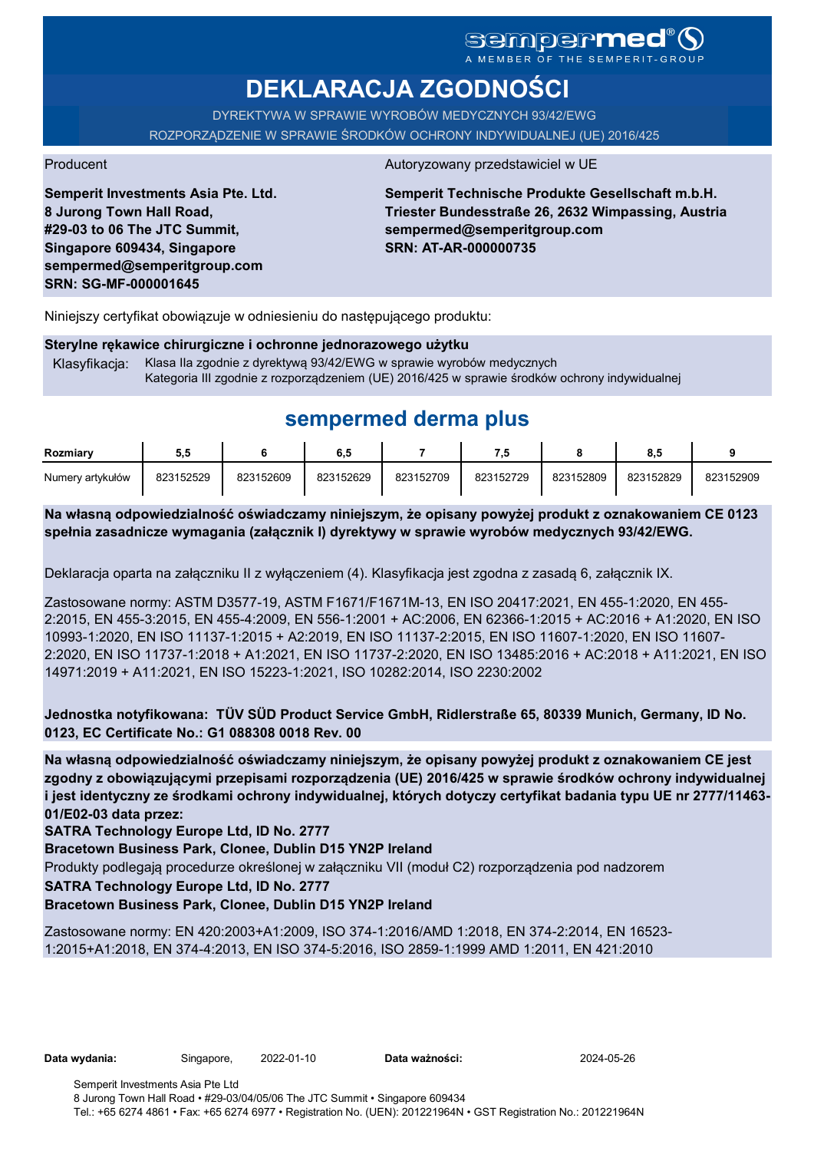# sempermed

**DEKLARACJA ZGODNOŚCI**

DYREKTYWA W SPRAWIE WYROBÓW MEDYCZNYCH 93/42/EWG ROZPORZĄDZENIE W SPRAWIE ŚRODKÓW OCHRONY INDYWIDUALNEJ (UE) 2016/425

**Semperit Investments Asia Pte. Ltd. 8 Jurong Town Hall Road, #29-03 to 06 The JTC Summit, Singapore 609434, Singapore sempermed@semperitgroup.com SRN: SG-MF-000001645**

#### Producent Autoryzowany przedstawiciel w UE

**Semperit Technische Produkte Gesellschaft m.b.H. Triester Bundesstraße 26, 2632 Wimpassing, Austria sempermed@semperitgroup.com SRN: AT-AR-000000735**

Niniejszy certyfikat obowiązuje w odniesieniu do następującego produktu:

#### **Sterylne rękawice chirurgiczne i ochronne jednorazowego użytku**

Klasyfikacja: Klasa IIa zgodnie z dyrektywą 93/42/EWG w sprawie wyrobów medycznych Kategoria III zgodnie z rozporządzeniem (UE) 2016/425 w sprawie środków ochrony indywidualnej

## **sempermed derma plus**

| Rozmiarv         | ວ.ວ       |           | 6.5       |           | ن.        |           | 8.5       |           |
|------------------|-----------|-----------|-----------|-----------|-----------|-----------|-----------|-----------|
| Numery artykułów | 823152529 | 823152609 | 823152629 | 823152709 | 823152729 | 823152809 | 823152829 | 823152909 |

**Na własną odpowiedzialność oświadczamy niniejszym, że opisany powyżej produkt z oznakowaniem CE 0123 spełnia zasadnicze wymagania (załącznik I) dyrektywy w sprawie wyrobów medycznych 93/42/EWG.**

Deklaracja oparta na załączniku II z wyłączeniem (4). Klasyfikacja jest zgodna z zasadą 6, załącznik IX.

Zastosowane normy: ASTM D3577-19, ASTM F1671/F1671M-13, EN ISO 20417:2021, EN 455-1:2020, EN 455- 2:2015, EN 455-3:2015, EN 455-4:2009, EN 556-1:2001 + AC:2006, EN 62366-1:2015 + AC:2016 + A1:2020, EN ISO 10993-1:2020, EN ISO 11137-1:2015 + A2:2019, EN ISO 11137-2:2015, EN ISO 11607-1:2020, EN ISO 11607- 2:2020, EN ISO 11737-1:2018 + A1:2021, EN ISO 11737-2:2020, EN ISO 13485:2016 + AC:2018 + A11:2021, EN ISO 14971:2019 + A11:2021, EN ISO 15223-1:2021, ISO 10282:2014, ISO 2230:2002

**Jednostka notyfikowana: TÜV SÜD Product Service GmbH, Ridlerstraße 65, 80339 Munich, Germany, ID No. 0123, EC Certificate No.: G1 088308 0018 Rev. 00** 

**Na własną odpowiedzialność oświadczamy niniejszym, że opisany powyżej produkt z oznakowaniem CE jest zgodny z obowiązującymi przepisami rozporządzenia (UE) 2016/425 w sprawie środków ochrony indywidualnej i jest identyczny ze środkami ochrony indywidualnej, których dotyczy certyfikat badania typu UE nr 2777/11463- 01/E02-03 data przez:**

**SATRA Technology Europe Ltd, ID No. 2777**

**Bracetown Business Park, Clonee, Dublin D15 YN2P Ireland**

Produkty podlegają procedurze określonej w załączniku VII (moduł C2) rozporządzenia pod nadzorem

**SATRA Technology Europe Ltd, ID No. 2777**

#### **Bracetown Business Park, Clonee, Dublin D15 YN2P Ireland**

Zastosowane normy: EN 420:2003+A1:2009, ISO 374-1:2016/AMD 1:2018, EN 374-2:2014, EN 16523- 1:2015+A1:2018, EN 374-4:2013, EN ISO 374-5:2016, ISO 2859-1:1999 AMD 1:2011, EN 421:2010

**Data ważności:** 2024-05-26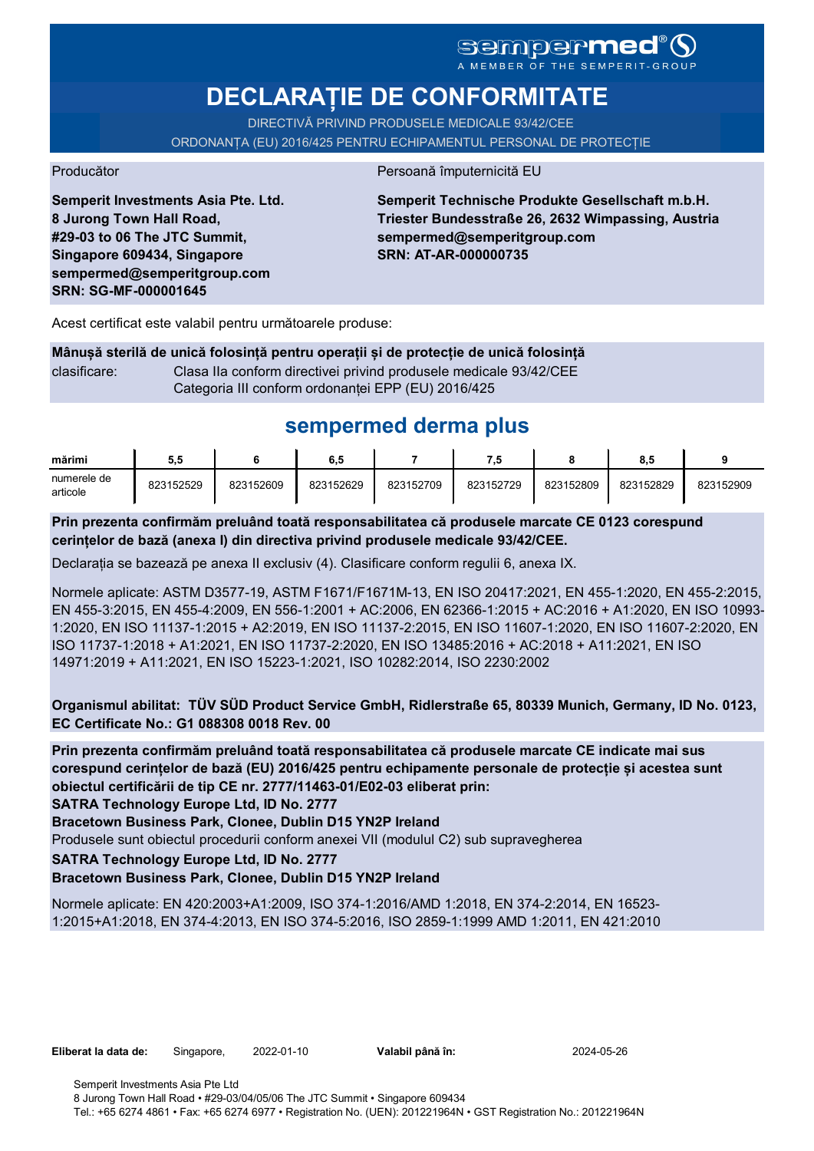# SGMDGPMEd<sup>®</sup>O

**DECLARAȚIE DE CONFORMITATE**

DIRECTIVĂ PRIVIND PRODUSELE MEDICALE 93/42/CEE

ORDONANȚA (EU) 2016/425 PENTRU ECHIPAMENTUL PERSONAL DE PROTECȚIE

Producător **Producător** Persoană împuternicită EU

**Semperit Investments Asia Pte. Ltd. 8 Jurong Town Hall Road, #29-03 to 06 The JTC Summit, Singapore 609434, Singapore sempermed@semperitgroup.com SRN: SG-MF-000001645**

**Semperit Technische Produkte Gesellschaft m.b.H. Triester Bundesstraße 26, 2632 Wimpassing, Austria sempermed@semperitgroup.com SRN: AT-AR-000000735**

Acest certificat este valabil pentru următoarele produse:

**Mânușă sterilă de unică folosință pentru operații și de protecție de unică folosință** clasificare: Clasa IIa conform directivei privind produsele medicale 93/42/CEE Categoria III conform ordonanței EPP (EU) 2016/425

# **sempermed derma plus**

| mărimi                  | 5.5       |           | 6.5       |           | - 14      |           | 8.5       |           |
|-------------------------|-----------|-----------|-----------|-----------|-----------|-----------|-----------|-----------|
| numerele de<br>articole | 823152529 | 823152609 | 823152629 | 823152709 | 823152729 | 823152809 | 823152829 | 823152909 |

**Prin prezenta confirmăm preluând toată responsabilitatea că produsele marcate CE 0123 corespund cerințelor de bază (anexa I) din directiva privind produsele medicale 93/42/CEE.**

Declarația se bazează pe anexa II exclusiv (4). Clasificare conform regulii 6, anexa IX.

Normele aplicate: ASTM D3577-19, ASTM F1671/F1671M-13, EN ISO 20417:2021, EN 455-1:2020, EN 455-2:2015, EN 455-3:2015, EN 455-4:2009, EN 556-1:2001 + AC:2006, EN 62366-1:2015 + AC:2016 + A1:2020, EN ISO 10993- 1:2020, EN ISO 11137-1:2015 + A2:2019, EN ISO 11137-2:2015, EN ISO 11607-1:2020, EN ISO 11607-2:2020, EN ISO 11737-1:2018 + A1:2021, EN ISO 11737-2:2020, EN ISO 13485:2016 + AC:2018 + A11:2021, EN ISO 14971:2019 + A11:2021, EN ISO 15223-1:2021, ISO 10282:2014, ISO 2230:2002

**Organismul abilitat: TÜV SÜD Product Service GmbH, Ridlerstraße 65, 80339 Munich, Germany, ID No. 0123, EC Certificate No.: G1 088308 0018 Rev. 00** 

**Prin prezenta confirmăm preluând toată responsabilitatea că produsele marcate CE indicate mai sus corespund cerințelor de bază (EU) 2016/425 pentru echipamente personale de protecție și acestea sunt obiectul certificării de tip CE nr. 2777/11463-01/E02-03 eliberat prin:**

**SATRA Technology Europe Ltd, ID No. 2777**

**Bracetown Business Park, Clonee, Dublin D15 YN2P Ireland**

Produsele sunt obiectul procedurii conform anexei VII (modulul C2) sub supravegherea

**SATRA Technology Europe Ltd, ID No. 2777**

#### **Bracetown Business Park, Clonee, Dublin D15 YN2P Ireland**

Normele aplicate: EN 420:2003+A1:2009, ISO 374-1:2016/AMD 1:2018, EN 374-2:2014, EN 16523- 1:2015+A1:2018, EN 374-4:2013, EN ISO 374-5:2016, ISO 2859-1:1999 AMD 1:2011, EN 421:2010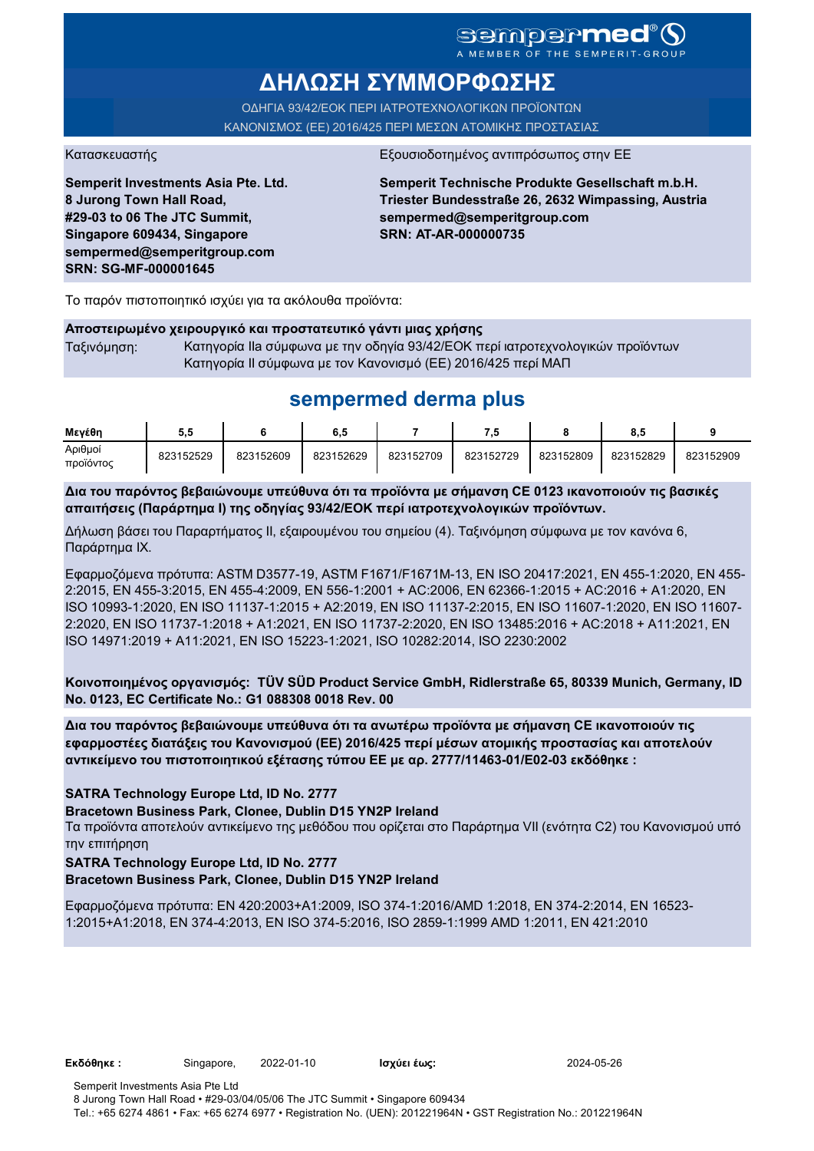### sempermed<sup>®</sup> Q A MEMBER OF THE SEMPERIT-GROUI

**ΔΗΛΩΣΗ ΣΥΜΜΟΡΦΩΣΗΣ**

ΟΔΗΓΙΑ 93/42/ΕΟΚ ΠΕΡΙ ΙΑΤΡΟΤΕΧΝΟΛΟΓΙΚΩΝ ΠΡΟΪΟΝΤΩΝ ΚΑΝΟΝΙΣΜΟΣ (ΕΕ) 2016/425 ΠΕΡΙ ΜΕΣΩΝ ΑΤΟΜΙΚΗΣ ΠΡΟΣΤΑΣΙΑΣ

Κατασκευαστής <u>Εξουσιοδοτημένος αντιπρόσωπος στην Ε</u>

**Semperit Investments Asia Pte. Ltd. 8 Jurong Town Hall Road, #29-03 to 06 The JTC Summit, Singapore 609434, Singapore sempermed@semperitgroup.com SRN: SG-MF-000001645**

**Semperit Technische Produkte Gesellschaft m.b.H. Triester Bundesstraße 26, 2632 Wimpassing, Austria sempermed@semperitgroup.com SRN: AT-AR-000000735**

Το παρόν πιστοποιητικό ισχύει για τα ακόλουθα προϊόντα:

#### **Αποστειρωμένο χειρουργικό και προστατευτικό γάντι μιας χρήσης**

Ταξινόμηση: Κατηγορία IIa σύμφωνα με την οδηγία 93/42/ΕΟΚ περί ιατροτεχνολογικών προϊόντων Κατηγορία II σύμφωνα με τον Κανονισμό (ΕΕ) 2016/425 περί ΜΑΠ

## **sempermed derma plus**

| Μενέθη                       | v.v       |           | 6,5       |           | - 14      |           | 8,5       |           |
|------------------------------|-----------|-----------|-----------|-----------|-----------|-----------|-----------|-----------|
| Αριθμοί<br><b>Π</b> ροϊόντος | 823152529 | 823152609 | 823152629 | 823152709 | 823152729 | 823152809 | 823152829 | 823152909 |

**Δια του παρόντος βεβαιώνουμε υπεύθυνα ότι τα προϊόντα με σήμανση CE 0123 ικανοποιούν τις βασικές απαιτήσεις (Παράρτημα I) της οδηγίας 93/42/ΕΟΚ περί ιατροτεχνολογικών προϊόντων.**

Δήλωση βάσει του Παραρτήματος II, εξαιρουμένου του σημείου (4). Ταξινόμηση σύμφωνα με τον κανόνα 6, Παράρτημα IX.

Εφαρμοζόμενα πρότυπα: ASTM D3577-19, ASTM F1671/F1671M-13, EN ISO 20417:2021, EN 455-1:2020, EN 455- 2:2015, EN 455-3:2015, EN 455-4:2009, EN 556-1:2001 + AC:2006, EN 62366-1:2015 + AC:2016 + A1:2020, EN ISO 10993-1:2020, EN ISO 11137-1:2015 + A2:2019, EN ISO 11137-2:2015, EN ISO 11607-1:2020, EN ISO 11607- 2:2020, EN ISO 11737-1:2018 + A1:2021, EN ISO 11737-2:2020, EN ISO 13485:2016 + AC:2018 + A11:2021, EN ISO 14971:2019 + A11:2021, EN ISO 15223-1:2021, ISO 10282:2014, ISO 2230:2002

**Κοινοποιημένος οργανισμός: TÜV SÜD Product Service GmbH, Ridlerstraße 65, 80339 Munich, Germany, ID No. 0123, EC Certificate No.: G1 088308 0018 Rev. 00** 

**Δια του παρόντος βεβαιώνουμε υπεύθυνα ότι τα ανωτέρω προϊόντα με σήμανση CE ικανοποιούν τις εφαρμοστέες διατάξεις του Κανονισμού (ΕΕ) 2016/425 περί μέσων ατομικής προστασίας και αποτελούν αντικείμενο του πιστοποιητικού εξέτασης τύπου ΕΕ με αρ. 2777/11463-01/E02-03 εκδόθηκε :**

#### **SATRA Technology Europe Ltd, ID No. 2777**

**Bracetown Business Park, Clonee, Dublin D15 YN2P Ireland**

Τα προϊόντα αποτελούν αντικείμενο της μεθόδου που ορίζεται στο Παράρτημα VII (ενότητα C2) του Κανονισμού υπό την επιτήρηση

#### **SATRA Technology Europe Ltd, ID No. 2777**

#### **Bracetown Business Park, Clonee, Dublin D15 YN2P Ireland**

Εφαρμοζόμενα πρότυπα: EN 420:2003+A1:2009, ISO 374-1:2016/AMD 1:2018, EN 374-2:2014, EN 16523- 1:2015+A1:2018, EN 374-4:2013, EN ISO 374-5:2016, ISO 2859-1:1999 AMD 1:2011, EN 421:2010

**Εκδόθηκε :** Singapore, **Ισχύει έως:** 2022-01-10 2024-05-26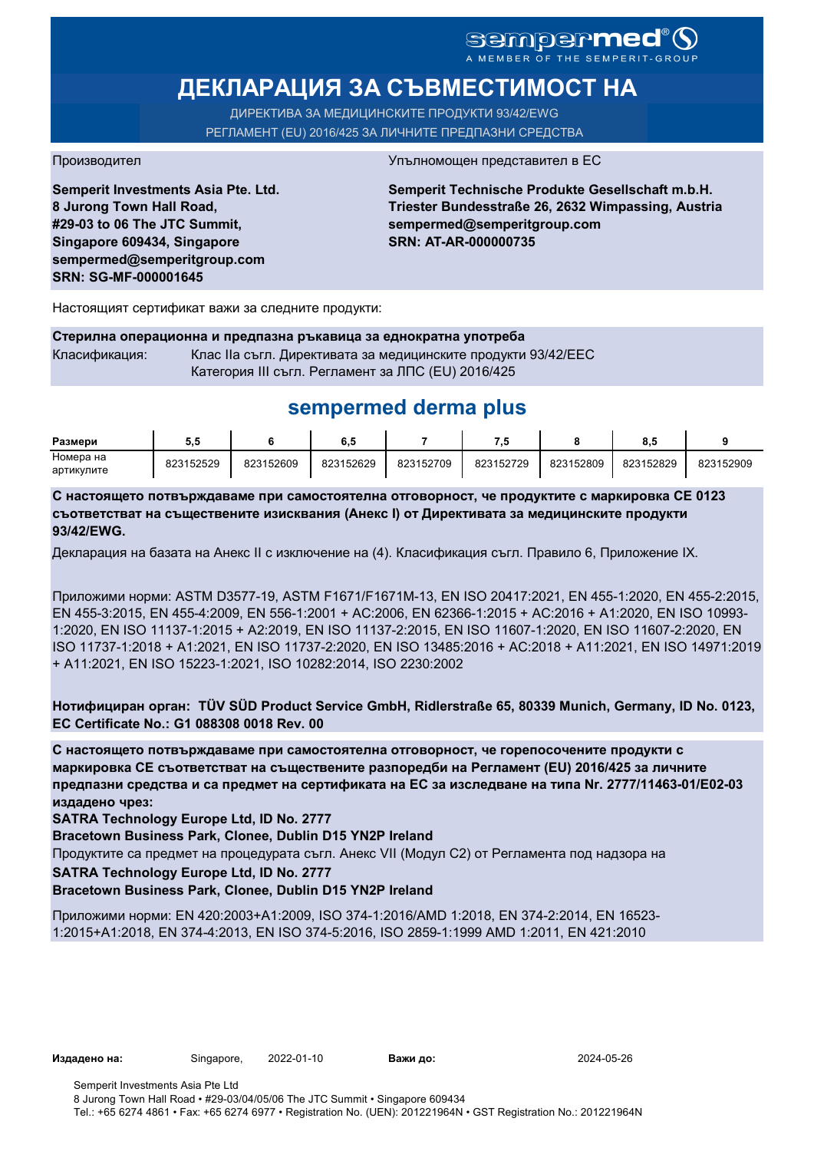# sempermed®

# **ДЕКЛАРАЦИЯ ЗА СЪВМЕСТИМОСТ НА**

ДИРЕКТИВА ЗА МЕДИЦИНСКИТЕ ПРОДУКТИ 93/42/EWG РЕГЛАМЕНТ (EU) 2016/425 ЗА ЛИЧНИТЕ ПРЕДПАЗНИ СРЕДСТВА

**Semperit Investments Asia Pte. Ltd. 8 Jurong Town Hall Road, #29-03 to 06 The JTC Summit, Singapore 609434, Singapore sempermed@semperitgroup.com SRN: SG-MF-000001645**

#### Производител Упълномощен представител в ЕС

**Semperit Technische Produkte Gesellschaft m.b.H. Triester Bundesstraße 26, 2632 Wimpassing, Austria sempermed@semperitgroup.com SRN: AT-AR-000000735**

Настоящият сертификат важи за следните продукти:

**Стерилна операционна и предпазна ръкавица за еднократна употреба** Класификация: Клас IIa съгл. Директивата за медицинските продукти 93/42/EEC Категория III съгл. Регламент за ЛПС (EU) 2016/425

## **sempermed derma plus**

| Размери    | v.v       |           | o. J      |           |           |           | ο.υ       |           |
|------------|-----------|-----------|-----------|-----------|-----------|-----------|-----------|-----------|
| Номера на  | 823152529 | 823152609 | 823152629 | 823152709 | 823152729 | 823152809 | 823152829 | 823152909 |
| артикулите |           |           |           |           |           |           |           |           |

**С настоящето потвърждаваме при самостоятелна отговорност, че продуктите с маркировка СЕ 0123 съответстват на съществените изисквания (Анекс I) от Директивата за медицинските продукти 93/42/EWG.**

Декларация на базата на Анекс II с изключение на (4). Класификация съгл. Правило 6, Приложение IX.

Приложими норми: ASTM D3577-19, ASTM F1671/F1671M-13, EN ISO 20417:2021, EN 455-1:2020, EN 455-2:2015, EN 455-3:2015, EN 455-4:2009, EN 556-1:2001 + AC:2006, EN 62366-1:2015 + AC:2016 + A1:2020, EN ISO 10993- 1:2020, EN ISO 11137-1:2015 + A2:2019, EN ISO 11137-2:2015, EN ISO 11607-1:2020, EN ISO 11607-2:2020, EN ISO 11737-1:2018 + A1:2021, EN ISO 11737-2:2020, EN ISO 13485:2016 + AC:2018 + A11:2021, EN ISO 14971:2019 + A11:2021, EN ISO 15223-1:2021, ISO 10282:2014, ISO 2230:2002

**Нотифициран орган: TÜV SÜD Product Service GmbH, Ridlerstraße 65, 80339 Munich, Germany, ID No. 0123, EC Certificate No.: G1 088308 0018 Rev. 00** 

**С настоящето потвърждаваме при самостоятелна отговорност, че горепосочените продукти с маркировка СЕ съответстват на съществените разпоредби на Регламент (EU) 2016/425 за личните предпазни средства и са предмет на сертификата на ЕС за изследване на типа Nr. 2777/11463-01/E02-03 издадено чрез:**

**SATRA Technology Europe Ltd, ID No. 2777**

**Bracetown Business Park, Clonee, Dublin D15 YN2P Ireland**

Продуктите са предмет на процедурата съгл. Анекс VII (Модул С2) от Регламента под надзора на

**SATRA Technology Europe Ltd, ID No. 2777**

**Bracetown Business Park, Clonee, Dublin D15 YN2P Ireland**

Приложими норми: EN 420:2003+A1:2009, ISO 374-1:2016/AMD 1:2018, EN 374-2:2014, EN 16523- 1:2015+A1:2018, EN 374-4:2013, EN ISO 374-5:2016, ISO 2859-1:1999 AMD 1:2011, EN 421:2010